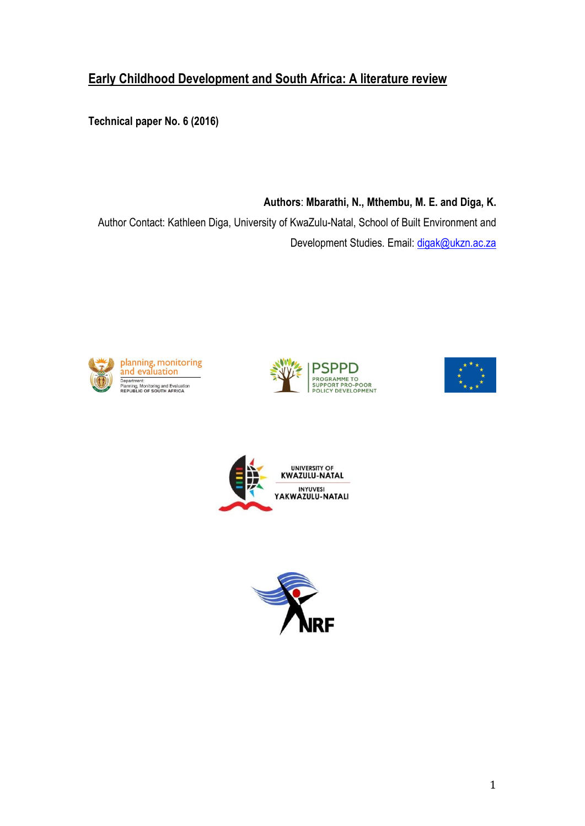# **Early Childhood Development and South Africa: A literature review**

**Technical paper No. 6 (2016)**

**Authors**: **Mbarathi, N., Mthembu, M. E. and Diga, K.** Author Contact: Kathleen Diga, University of KwaZulu-Natal, School of Built Environment and Development Studies. Email: [digak@ukzn.ac.za](mailto:digak@ukzn.ac.za)









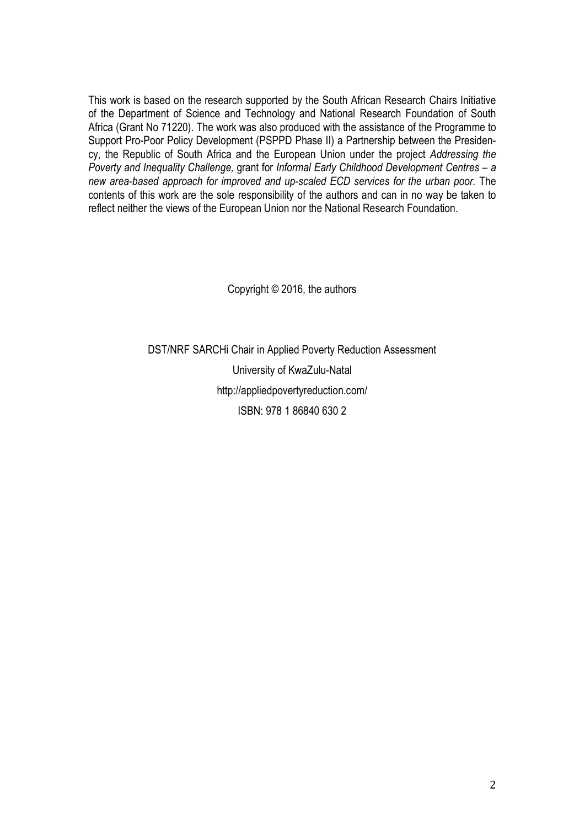This work is based on the research supported by the South African Research Chairs Initiative of the Department of Science and Technology and National Research Foundation of South Africa (Grant No 71220). The work was also produced with the assistance of the Programme to Support Pro-Poor Policy Development (PSPPD Phase II) a Partnership between the Presidency, the Republic of South Africa and the European Union under the project *Addressing the Poverty and Inequality Challenge,* grant for *Informal Early Childhood Development Centres – a new area-based approach for improved and up-scaled ECD services for the urban poor.* The contents of this work are the sole responsibility of the authors and can in no way be taken to reflect neither the views of the European Union nor the National Research Foundation.

Copyright © 2016, the authors

DST/NRF SARCHi Chair in Applied Poverty Reduction Assessment University of KwaZulu-Natal <http://appliedpovertyreduction.com/> ISBN: 978 1 86840 630 2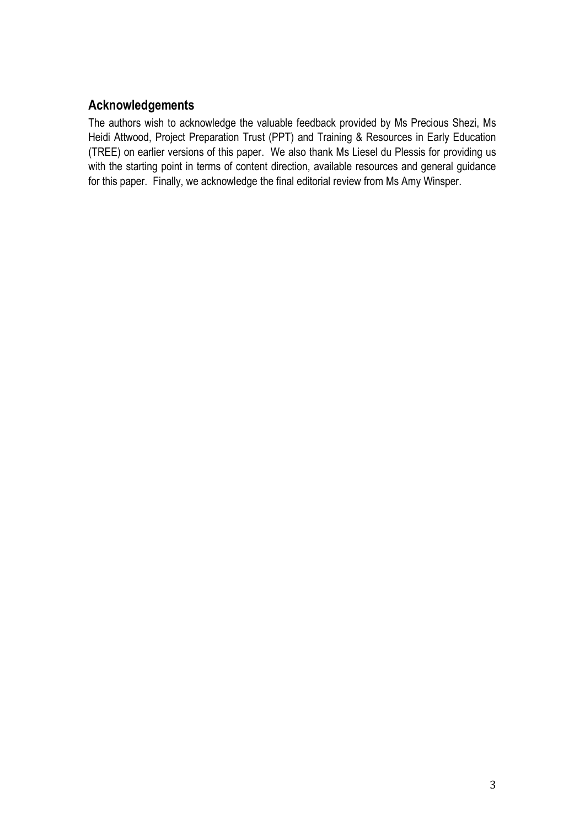# **Acknowledgements**

The authors wish to acknowledge the valuable feedback provided by Ms Precious Shezi, Ms Heidi Attwood, Project Preparation Trust (PPT) and Training & Resources in Early Education (TREE) on earlier versions of this paper. We also thank Ms Liesel du Plessis for providing us with the starting point in terms of content direction, available resources and general guidance for this paper. Finally, we acknowledge the final editorial review from Ms Amy Winsper.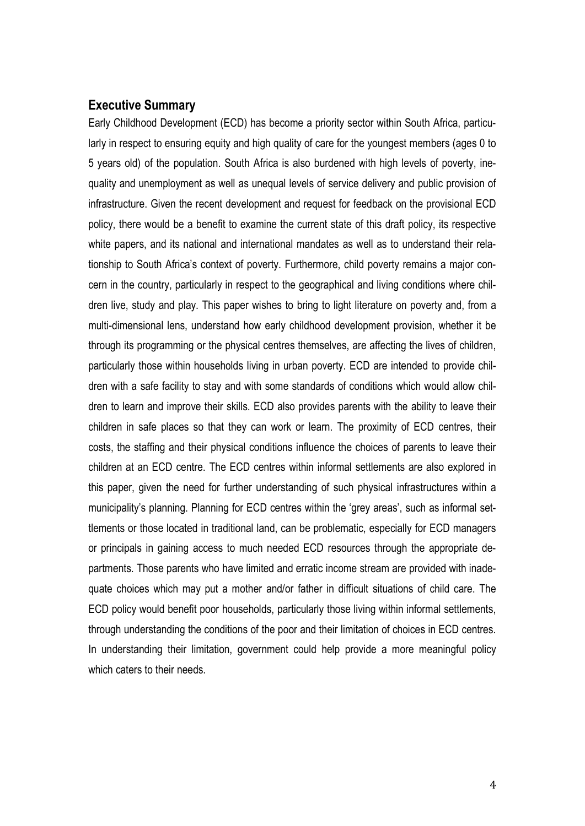## **Executive Summary**

Early Childhood Development (ECD) has become a priority sector within South Africa, particularly in respect to ensuring equity and high quality of care for the youngest members (ages 0 to 5 years old) of the population. South Africa is also burdened with high levels of poverty, inequality and unemployment as well as unequal levels of service delivery and public provision of infrastructure. Given the recent development and request for feedback on the provisional ECD policy, there would be a benefit to examine the current state of this draft policy, its respective white papers, and its national and international mandates as well as to understand their relationship to South Africa's context of poverty. Furthermore, child poverty remains a major concern in the country, particularly in respect to the geographical and living conditions where children live, study and play. This paper wishes to bring to light literature on poverty and, from a multi-dimensional lens, understand how early childhood development provision, whether it be through its programming or the physical centres themselves, are affecting the lives of children, particularly those within households living in urban poverty. ECD are intended to provide children with a safe facility to stay and with some standards of conditions which would allow children to learn and improve their skills. ECD also provides parents with the ability to leave their children in safe places so that they can work or learn. The proximity of ECD centres, their costs, the staffing and their physical conditions influence the choices of parents to leave their children at an ECD centre. The ECD centres within informal settlements are also explored in this paper, given the need for further understanding of such physical infrastructures within a municipality's planning. Planning for ECD centres within the 'grey areas', such as informal settlements or those located in traditional land, can be problematic, especially for ECD managers or principals in gaining access to much needed ECD resources through the appropriate departments. Those parents who have limited and erratic income stream are provided with inadequate choices which may put a mother and/or father in difficult situations of child care. The ECD policy would benefit poor households, particularly those living within informal settlements, through understanding the conditions of the poor and their limitation of choices in ECD centres. In understanding their limitation, government could help provide a more meaningful policy which caters to their needs.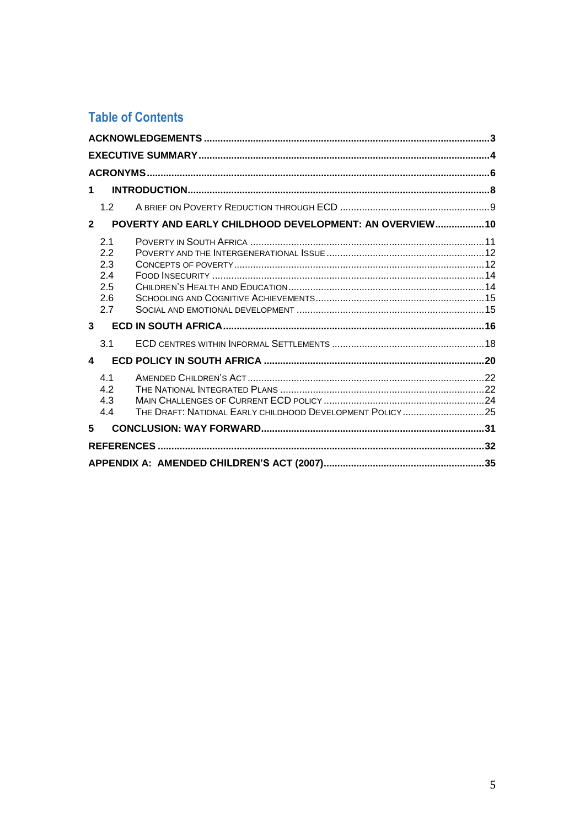# **Table of Contents**

| 1                                                                                    |  |
|--------------------------------------------------------------------------------------|--|
| 1.2                                                                                  |  |
| POVERTY AND EARLY CHILDHOOD DEVELOPMENT: AN OVERVIEW 10<br>$\mathbf{2}$              |  |
| 2.1<br>2.2<br>2.3<br>2.4<br>2.5<br>2.6<br>2.7                                        |  |
| $\mathbf{3}$                                                                         |  |
| 3.1                                                                                  |  |
| 4                                                                                    |  |
| 4.1<br>4.2<br>4.3<br>THE DRAFT: NATIONAL EARLY CHILDHOOD DEVELOPMENT POLICY25<br>4.4 |  |
| 5                                                                                    |  |
|                                                                                      |  |
|                                                                                      |  |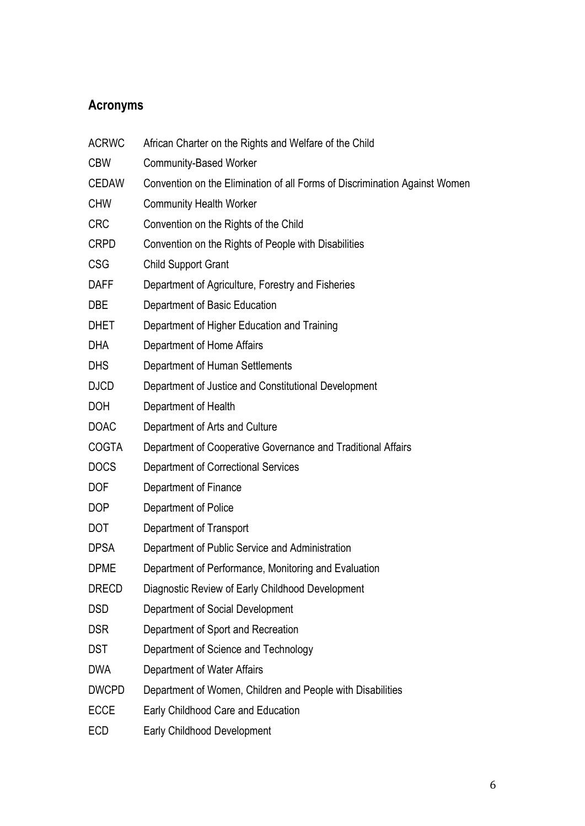# **Acronyms**

| <b>ACRWC</b> | African Charter on the Rights and Welfare of the Child                     |
|--------------|----------------------------------------------------------------------------|
| <b>CBW</b>   | <b>Community-Based Worker</b>                                              |
| <b>CEDAW</b> | Convention on the Elimination of all Forms of Discrimination Against Women |
| <b>CHW</b>   | <b>Community Health Worker</b>                                             |
| <b>CRC</b>   | Convention on the Rights of the Child                                      |
| <b>CRPD</b>  | Convention on the Rights of People with Disabilities                       |
| <b>CSG</b>   | <b>Child Support Grant</b>                                                 |
| <b>DAFF</b>  | Department of Agriculture, Forestry and Fisheries                          |
| <b>DBE</b>   | Department of Basic Education                                              |
| <b>DHET</b>  | Department of Higher Education and Training                                |
| <b>DHA</b>   | Department of Home Affairs                                                 |
| <b>DHS</b>   | Department of Human Settlements                                            |
| <b>DJCD</b>  | Department of Justice and Constitutional Development                       |
| <b>DOH</b>   | Department of Health                                                       |
| <b>DOAC</b>  | Department of Arts and Culture                                             |
| <b>COGTA</b> | Department of Cooperative Governance and Traditional Affairs               |
| <b>DOCS</b>  | Department of Correctional Services                                        |
| <b>DOF</b>   | Department of Finance                                                      |
| <b>DOP</b>   | Department of Police                                                       |
| <b>DOT</b>   | Department of Transport                                                    |
| <b>DPSA</b>  | Department of Public Service and Administration                            |
| <b>DPME</b>  | Department of Performance, Monitoring and Evaluation                       |
| <b>DRECD</b> | Diagnostic Review of Early Childhood Development                           |
| <b>DSD</b>   | Department of Social Development                                           |
| <b>DSR</b>   | Department of Sport and Recreation                                         |
| <b>DST</b>   | Department of Science and Technology                                       |
| <b>DWA</b>   | Department of Water Affairs                                                |
| <b>DWCPD</b> | Department of Women, Children and People with Disabilities                 |
| <b>ECCE</b>  | Early Childhood Care and Education                                         |
| <b>ECD</b>   | <b>Early Childhood Development</b>                                         |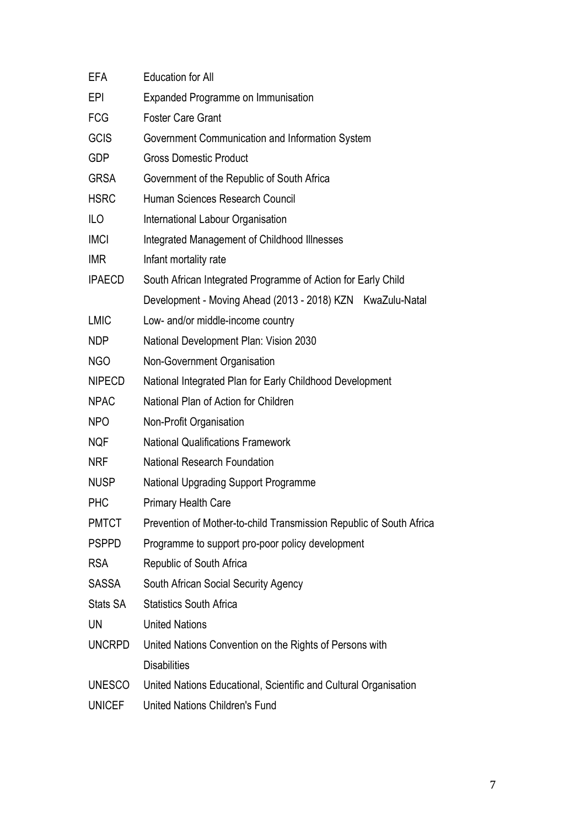| EFA           | <b>Education for All</b>                                            |
|---------------|---------------------------------------------------------------------|
| EPI           | <b>Expanded Programme on Immunisation</b>                           |
| FCG           | <b>Foster Care Grant</b>                                            |
| <b>GCIS</b>   | Government Communication and Information System                     |
| <b>GDP</b>    | <b>Gross Domestic Product</b>                                       |
| <b>GRSA</b>   | Government of the Republic of South Africa                          |
| <b>HSRC</b>   | Human Sciences Research Council                                     |
| ILO           | International Labour Organisation                                   |
| <b>IMCI</b>   | Integrated Management of Childhood Illnesses                        |
| <b>IMR</b>    | Infant mortality rate                                               |
| <b>IPAECD</b> | South African Integrated Programme of Action for Early Child        |
|               | Development - Moving Ahead (2013 - 2018) KZN KwaZulu-Natal          |
| <b>LMIC</b>   | Low- and/or middle-income country                                   |
| <b>NDP</b>    | National Development Plan: Vision 2030                              |
| <b>NGO</b>    | Non-Government Organisation                                         |
| <b>NIPECD</b> | National Integrated Plan for Early Childhood Development            |
| <b>NPAC</b>   | National Plan of Action for Children                                |
| <b>NPO</b>    | Non-Profit Organisation                                             |
| <b>NQF</b>    | <b>National Qualifications Framework</b>                            |
| <b>NRF</b>    | <b>National Research Foundation</b>                                 |
| <b>NUSP</b>   | <b>National Upgrading Support Programme</b>                         |
| <b>PHC</b>    | Primary Health Care                                                 |
| <b>PMTCT</b>  | Prevention of Mother-to-child Transmission Republic of South Africa |
| <b>PSPPD</b>  | Programme to support pro-poor policy development                    |
| <b>RSA</b>    | Republic of South Africa                                            |
| SASSA         | South African Social Security Agency                                |
| Stats SA      | <b>Statistics South Africa</b>                                      |
| UN            | <b>United Nations</b>                                               |
| <b>UNCRPD</b> | United Nations Convention on the Rights of Persons with             |
|               | <b>Disabilities</b>                                                 |
| <b>UNESCO</b> | United Nations Educational, Scientific and Cultural Organisation    |
| <b>UNICEF</b> | United Nations Children's Fund                                      |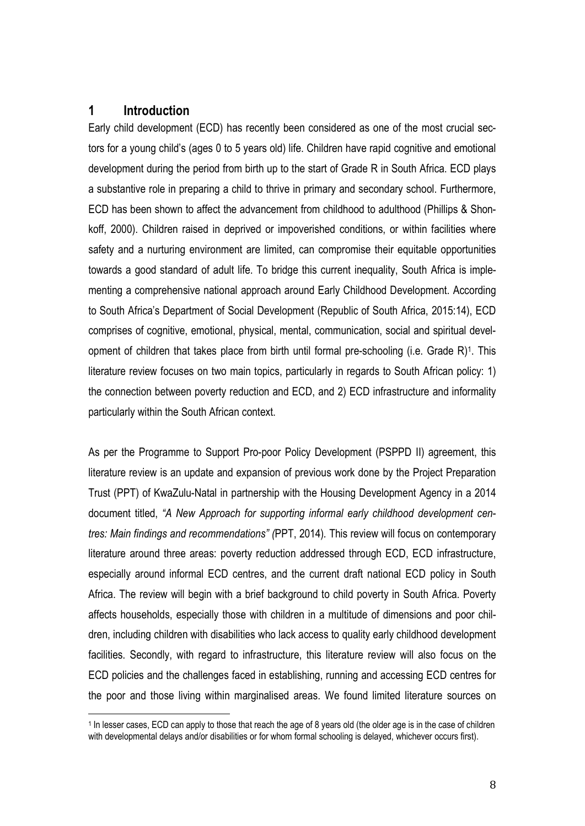## **1 Introduction**

1

Early child development (ECD) has recently been considered as one of the most crucial sectors for a young child's (ages 0 to 5 years old) life. Children have rapid cognitive and emotional development during the period from birth up to the start of Grade R in South Africa. ECD plays a substantive role in preparing a child to thrive in primary and secondary school. Furthermore, ECD has been shown to affect the advancement from childhood to adulthood (Phillips & Shonkoff, 2000). Children raised in deprived or impoverished conditions, or within facilities where safety and a nurturing environment are limited, can compromise their equitable opportunities towards a good standard of adult life. To bridge this current inequality, South Africa is implementing a comprehensive national approach around Early Childhood Development. According to South Africa's Department of Social Development (Republic of South Africa, 2015:14), ECD comprises of cognitive, emotional, physical, mental, communication, social and spiritual development of children that takes place from birth until formal pre-schooling (i.e. Grade R)<sup>1</sup>. This literature review focuses on two main topics, particularly in regards to South African policy: 1) the connection between poverty reduction and ECD, and 2) ECD infrastructure and informality particularly within the South African context.

As per the Programme to Support Pro-poor Policy Development (PSPPD II) agreement, this literature review is an update and expansion of previous work done by the Project Preparation Trust (PPT) of KwaZulu-Natal in partnership with the Housing Development Agency in a 2014 document titled, *"A New Approach for supporting informal early childhood development centres: Main findings and recommendations" (*PPT, 2014)*.* This review will focus on contemporary literature around three areas: poverty reduction addressed through ECD, ECD infrastructure, especially around informal ECD centres, and the current draft national ECD policy in South Africa. The review will begin with a brief background to child poverty in South Africa. Poverty affects households, especially those with children in a multitude of dimensions and poor children, including children with disabilities who lack access to quality early childhood development facilities. Secondly, with regard to infrastructure, this literature review will also focus on the ECD policies and the challenges faced in establishing, running and accessing ECD centres for the poor and those living within marginalised areas. We found limited literature sources on

<sup>1</sup> In lesser cases, ECD can apply to those that reach the age of 8 years old (the older age is in the case of children with developmental delays and/or disabilities or for whom formal schooling is delayed, whichever occurs first).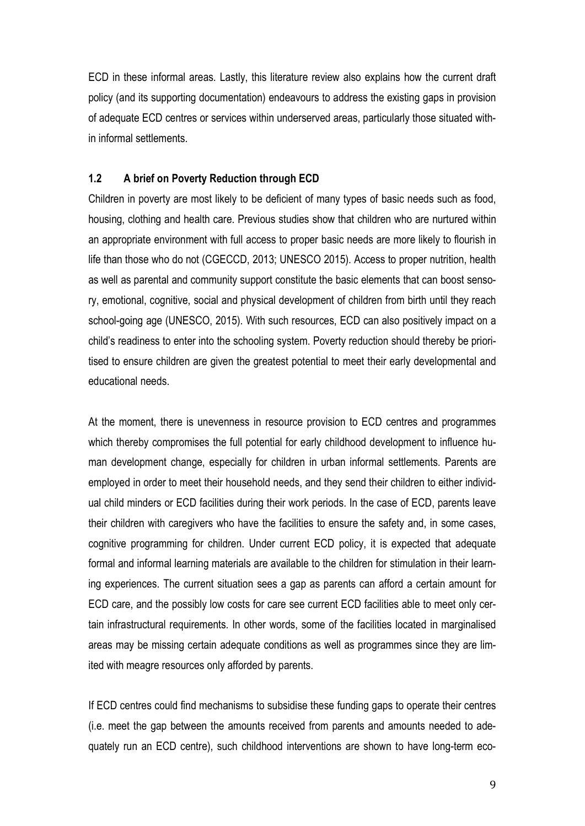ECD in these informal areas. Lastly, this literature review also explains how the current draft policy (and its supporting documentation) endeavours to address the existing gaps in provision of adequate ECD centres or services within underserved areas, particularly those situated within informal settlements.

#### **1.2 A brief on Poverty Reduction through ECD**

Children in poverty are most likely to be deficient of many types of basic needs such as food, housing, clothing and health care. Previous studies show that children who are nurtured within an appropriate environment with full access to proper basic needs are more likely to flourish in life than those who do not (CGECCD, 2013; UNESCO 2015). Access to proper nutrition, health as well as parental and community support constitute the basic elements that can boost sensory, emotional, cognitive, social and physical development of children from birth until they reach school-going age (UNESCO, 2015). With such resources, ECD can also positively impact on a child's readiness to enter into the schooling system. Poverty reduction should thereby be prioritised to ensure children are given the greatest potential to meet their early developmental and educational needs.

At the moment, there is unevenness in resource provision to ECD centres and programmes which thereby compromises the full potential for early childhood development to influence human development change, especially for children in urban informal settlements. Parents are employed in order to meet their household needs, and they send their children to either individual child minders or ECD facilities during their work periods. In the case of ECD, parents leave their children with caregivers who have the facilities to ensure the safety and, in some cases, cognitive programming for children. Under current ECD policy, it is expected that adequate formal and informal learning materials are available to the children for stimulation in their learning experiences. The current situation sees a gap as parents can afford a certain amount for ECD care, and the possibly low costs for care see current ECD facilities able to meet only certain infrastructural requirements. In other words, some of the facilities located in marginalised areas may be missing certain adequate conditions as well as programmes since they are limited with meagre resources only afforded by parents.

If ECD centres could find mechanisms to subsidise these funding gaps to operate their centres (i.e. meet the gap between the amounts received from parents and amounts needed to adequately run an ECD centre), such childhood interventions are shown to have long-term eco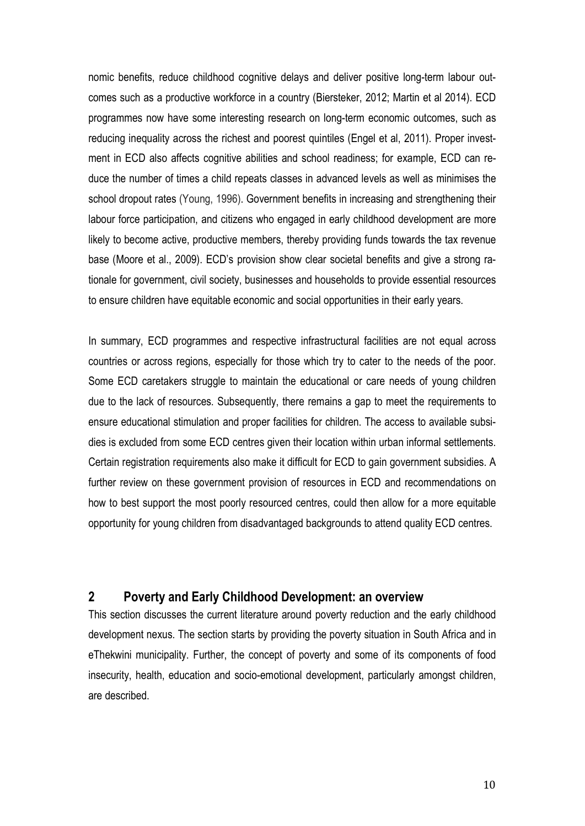nomic benefits, reduce childhood cognitive delays and deliver positive long-term labour outcomes such as a productive workforce in a country (Biersteker, 2012; Martin et al 2014). ECD programmes now have some interesting research on long-term economic outcomes, such as reducing inequality across the richest and poorest quintiles (Engel et al, 2011). Proper investment in ECD also affects cognitive abilities and school readiness; for example, ECD can reduce the number of times a child repeats classes in advanced levels as well as minimises the school dropout rates (Young, 1996). Government benefits in increasing and strengthening their labour force participation, and citizens who engaged in early childhood development are more likely to become active, productive members, thereby providing funds towards the tax revenue base (Moore et al., 2009). ECD's provision show clear societal benefits and give a strong rationale for government, civil society, businesses and households to provide essential resources to ensure children have equitable economic and social opportunities in their early years.

In summary, ECD programmes and respective infrastructural facilities are not equal across countries or across regions, especially for those which try to cater to the needs of the poor. Some ECD caretakers struggle to maintain the educational or care needs of young children due to the lack of resources. Subsequently, there remains a gap to meet the requirements to ensure educational stimulation and proper facilities for children. The access to available subsidies is excluded from some ECD centres given their location within urban informal settlements. Certain registration requirements also make it difficult for ECD to gain government subsidies. A further review on these government provision of resources in ECD and recommendations on how to best support the most poorly resourced centres, could then allow for a more equitable opportunity for young children from disadvantaged backgrounds to attend quality ECD centres.

# **2 Poverty and Early Childhood Development: an overview**

This section discusses the current literature around poverty reduction and the early childhood development nexus. The section starts by providing the poverty situation in South Africa and in eThekwini municipality. Further, the concept of poverty and some of its components of food insecurity, health, education and socio-emotional development, particularly amongst children, are described.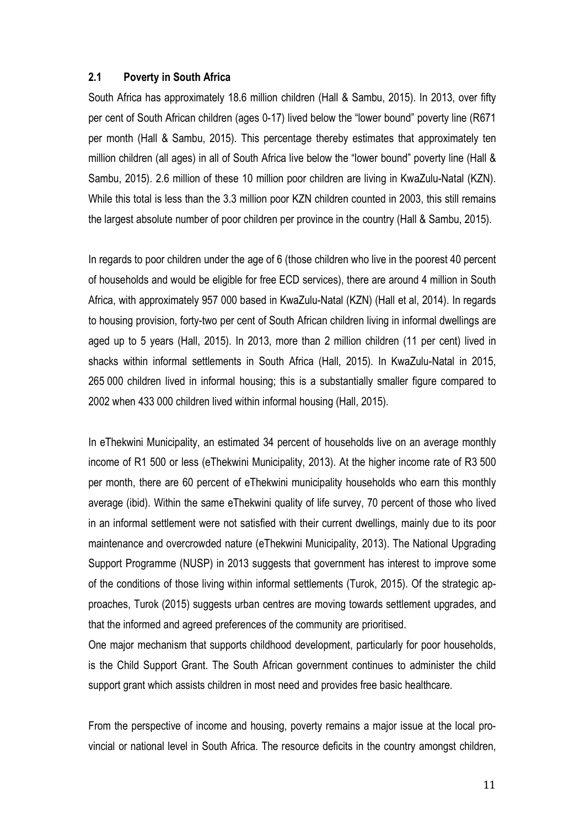#### **2.1 Poverty in South Africa**

South Africa has approximately 18.6 million children (Hall & Sambu, 2015). In 2013, over fifty per cent of South African children (ages 0-17) lived below the "lower bound" poverty line (R671 per month (Hall & Sambu, 2015). This percentage thereby estimates that approximately ten million children (all ages) in all of South Africa live below the "lower bound" poverty line (Hall & Sambu, 2015). 2.6 million of these 10 million poor children are living in KwaZulu-Natal (KZN). While this total is less than the 3.3 million poor KZN children counted in 2003, this still remains the largest absolute number of poor children per province in the country (Hall & Sambu, 2015).

In regards to poor children under the age of 6 (those children who live in the poorest 40 percent of households and would be eligible for free ECD services), there are around 4 million in South Africa, with approximately 957 000 based in KwaZulu-Natal (KZN) (Hall et al, 2014). In regards to housing provision, forty-two per cent of South African children living in informal dwellings are aged up to 5 years (Hall, 2015). In 2013, more than 2 million children (11 per cent) lived in shacks within informal settlements in South Africa (Hall, 2015). In KwaZulu-Natal in 2015, 265 000 children lived in informal housing; this is a substantially smaller figure compared to 2002 when 433 000 children lived within informal housing (Hall, 2015).

In eThekwini Municipality, an estimated 34 percent of households live on an average monthly income of R1 500 or less (eThekwini Municipality, 2013). At the higher income rate of R3 500 per month, there are 60 percent of eThekwini municipality households who earn this monthly average (ibid). Within the same eThekwini quality of life survey, 70 percent of those who lived in an informal settlement were not satisfied with their current dwellings, mainly due to its poor maintenance and overcrowded nature (eThekwini Municipality, 2013). The National Upgrading Support Programme (NUSP) in 2013 suggests that government has interest to improve some of the conditions of those living within informal settlements (Turok, 2015). Of the strategic approaches, Turok (2015) suggests urban centres are moving towards settlement upgrades, and that the informed and agreed preferences of the community are prioritised.

One major mechanism that supports childhood development, particularly for poor households, is the Child Support Grant. The South African government continues to administer the child support grant which assists children in most need and provides free basic healthcare.

From the perspective of income and housing, poverty remains a major issue at the local provincial or national level in South Africa. The resource deficits in the country amongst children,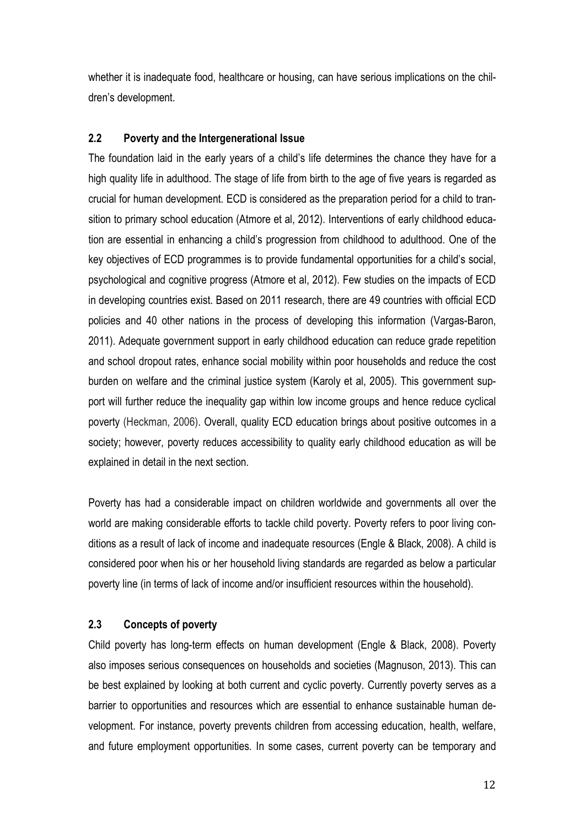whether it is inadequate food, healthcare or housing, can have serious implications on the children's development.

## **2.2 Poverty and the Intergenerational Issue**

The foundation laid in the early years of a child's life determines the chance they have for a high quality life in adulthood. The stage of life from birth to the age of five years is regarded as crucial for human development. ECD is considered as the preparation period for a child to transition to primary school education (Atmore et al, 2012). Interventions of early childhood education are essential in enhancing a child's progression from childhood to adulthood. One of the key objectives of ECD programmes is to provide fundamental opportunities for a child's social, psychological and cognitive progress (Atmore et al, 2012). Few studies on the impacts of ECD in developing countries exist. Based on 2011 research, there are 49 countries with official ECD policies and 40 other nations in the process of developing this information (Vargas-Baron, 2011). Adequate government support in early childhood education can reduce grade repetition and school dropout rates, enhance social mobility within poor households and reduce the cost burden on welfare and the criminal justice system (Karoly et al, 2005). This government support will further reduce the inequality gap within low income groups and hence reduce cyclical poverty (Heckman, 2006). Overall, quality ECD education brings about positive outcomes in a society; however, poverty reduces accessibility to quality early childhood education as will be explained in detail in the next section.

Poverty has had a considerable impact on children worldwide and governments all over the world are making considerable efforts to tackle child poverty. Poverty refers to poor living conditions as a result of lack of income and inadequate resources (Engle & Black, 2008). A child is considered poor when his or her household living standards are regarded as below a particular poverty line (in terms of lack of income and/or insufficient resources within the household).

#### **2.3 Concepts of poverty**

Child poverty has long-term effects on human development (Engle & Black, 2008). Poverty also imposes serious consequences on households and societies (Magnuson, 2013). This can be best explained by looking at both current and cyclic poverty. Currently poverty serves as a barrier to opportunities and resources which are essential to enhance sustainable human development. For instance, poverty prevents children from accessing education, health, welfare, and future employment opportunities. In some cases, current poverty can be temporary and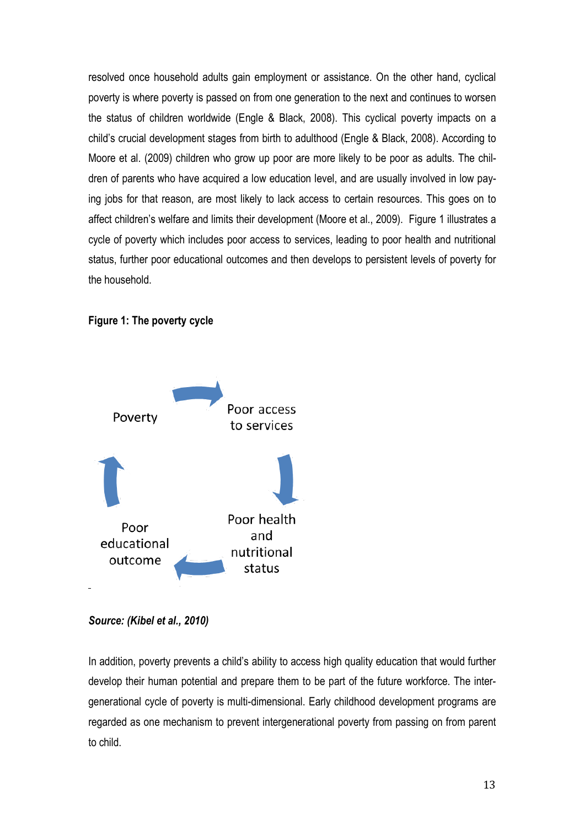resolved once household adults gain employment or assistance. On the other hand, cyclical poverty is where poverty is passed on from one generation to the next and continues to worsen the status of children worldwide (Engle & Black, 2008). This cyclical poverty impacts on a child's crucial development stages from birth to adulthood (Engle & Black, 2008). According to Moore et al. (2009) children who grow up poor are more likely to be poor as adults. The children of parents who have acquired a low education level, and are usually involved in low paying jobs for that reason, are most likely to lack access to certain resources. This goes on to affect children's welfare and limits their development (Moore et al., 2009). Figure 1 illustrates a cycle of poverty which includes poor access to services, leading to poor health and nutritional status, further poor educational outcomes and then develops to persistent levels of poverty for the household.

#### **Figure 1: The poverty cycle**



*Source: (Kibel et al., 2010)*

In addition, poverty prevents a child's ability to access high quality education that would further develop their human potential and prepare them to be part of the future workforce. The intergenerational cycle of poverty is multi-dimensional. Early childhood development programs are regarded as one mechanism to prevent intergenerational poverty from passing on from parent to child.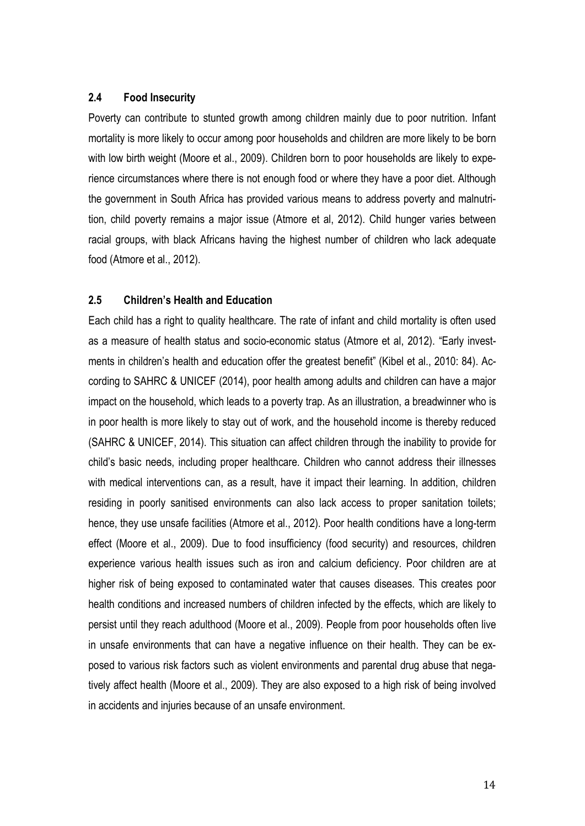#### **2.4 Food Insecurity**

Poverty can contribute to stunted growth among children mainly due to poor nutrition. Infant mortality is more likely to occur among poor households and children are more likely to be born with low birth weight (Moore et al., 2009). Children born to poor households are likely to experience circumstances where there is not enough food or where they have a poor diet. Although the government in South Africa has provided various means to address poverty and malnutrition, child poverty remains a major issue (Atmore et al, 2012). Child hunger varies between racial groups, with black Africans having the highest number of children who lack adequate food (Atmore et al., 2012).

#### **2.5 Children's Health and Education**

Each child has a right to quality healthcare. The rate of infant and child mortality is often used as a measure of health status and socio-economic status (Atmore et al, 2012). "Early investments in children's health and education offer the greatest benefit" (Kibel et al., 2010: 84). According to SAHRC & UNICEF (2014), poor health among adults and children can have a major impact on the household, which leads to a poverty trap. As an illustration, a breadwinner who is in poor health is more likely to stay out of work, and the household income is thereby reduced (SAHRC & UNICEF, 2014). This situation can affect children through the inability to provide for child's basic needs, including proper healthcare. Children who cannot address their illnesses with medical interventions can, as a result, have it impact their learning. In addition, children residing in poorly sanitised environments can also lack access to proper sanitation toilets; hence, they use unsafe facilities (Atmore et al., 2012). Poor health conditions have a long-term effect (Moore et al., 2009). Due to food insufficiency (food security) and resources, children experience various health issues such as iron and calcium deficiency. Poor children are at higher risk of being exposed to contaminated water that causes diseases. This creates poor health conditions and increased numbers of children infected by the effects, which are likely to persist until they reach adulthood (Moore et al., 2009). People from poor households often live in unsafe environments that can have a negative influence on their health. They can be exposed to various risk factors such as violent environments and parental drug abuse that negatively affect health (Moore et al., 2009). They are also exposed to a high risk of being involved in accidents and injuries because of an unsafe environment.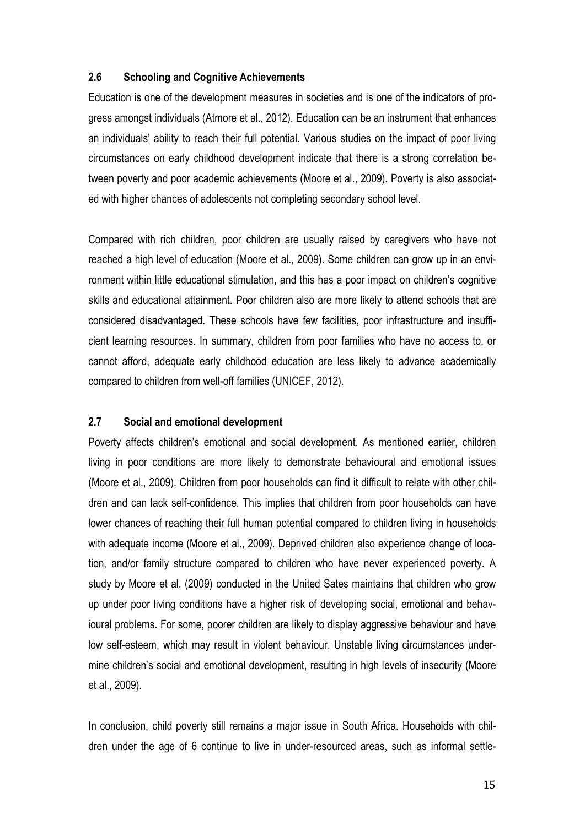#### **2.6 Schooling and Cognitive Achievements**

Education is one of the development measures in societies and is one of the indicators of progress amongst individuals (Atmore et al., 2012). Education can be an instrument that enhances an individuals' ability to reach their full potential. Various studies on the impact of poor living circumstances on early childhood development indicate that there is a strong correlation between poverty and poor academic achievements (Moore et al., 2009). Poverty is also associated with higher chances of adolescents not completing secondary school level.

Compared with rich children, poor children are usually raised by caregivers who have not reached a high level of education (Moore et al., 2009). Some children can grow up in an environment within little educational stimulation, and this has a poor impact on children's cognitive skills and educational attainment. Poor children also are more likely to attend schools that are considered disadvantaged. These schools have few facilities, poor infrastructure and insufficient learning resources. In summary, children from poor families who have no access to, or cannot afford, adequate early childhood education are less likely to advance academically compared to children from well-off families (UNICEF, 2012).

#### **2.7 Social and emotional development**

Poverty affects children's emotional and social development. As mentioned earlier, children living in poor conditions are more likely to demonstrate behavioural and emotional issues (Moore et al., 2009). Children from poor households can find it difficult to relate with other children and can lack self-confidence. This implies that children from poor households can have lower chances of reaching their full human potential compared to children living in households with adequate income (Moore et al., 2009). Deprived children also experience change of location, and/or family structure compared to children who have never experienced poverty. A study by Moore et al. (2009) conducted in the United Sates maintains that children who grow up under poor living conditions have a higher risk of developing social, emotional and behavioural problems. For some, poorer children are likely to display aggressive behaviour and have low self-esteem, which may result in violent behaviour. Unstable living circumstances undermine children's social and emotional development, resulting in high levels of insecurity (Moore et al., 2009).

In conclusion, child poverty still remains a major issue in South Africa. Households with children under the age of 6 continue to live in under-resourced areas, such as informal settle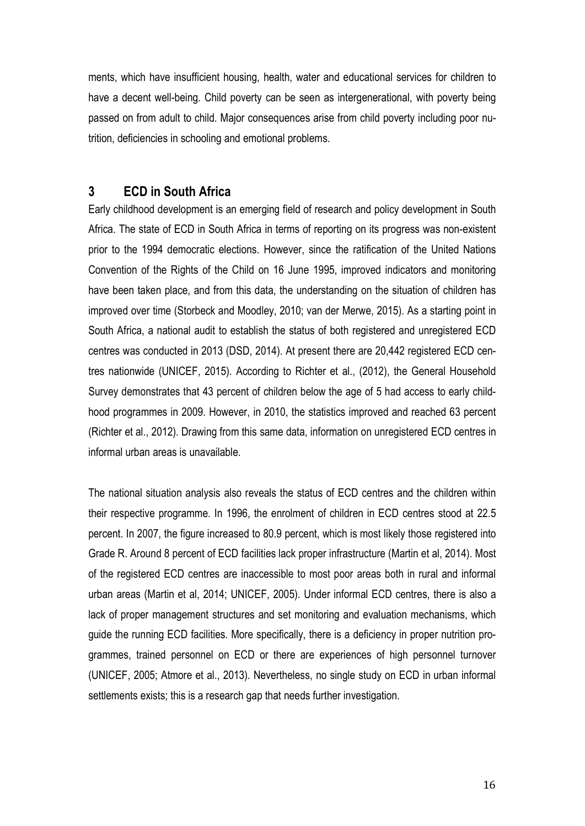ments, which have insufficient housing, health, water and educational services for children to have a decent well-being. Child poverty can be seen as intergenerational, with poverty being passed on from adult to child. Major consequences arise from child poverty including poor nutrition, deficiencies in schooling and emotional problems.

# **3 ECD in South Africa**

Early childhood development is an emerging field of research and policy development in South Africa. The state of ECD in South Africa in terms of reporting on its progress was non-existent prior to the 1994 democratic elections. However, since the ratification of the United Nations Convention of the Rights of the Child on 16 June 1995, improved indicators and monitoring have been taken place, and from this data, the understanding on the situation of children has improved over time (Storbeck and Moodley, 2010; van der Merwe, 2015). As a starting point in South Africa, a national audit to establish the status of both registered and unregistered ECD centres was conducted in 2013 (DSD, 2014). At present there are 20,442 registered ECD centres nationwide (UNICEF, 2015). According to Richter et al., (2012), the General Household Survey demonstrates that 43 percent of children below the age of 5 had access to early childhood programmes in 2009. However, in 2010, the statistics improved and reached 63 percent (Richter et al., 2012). Drawing from this same data, information on unregistered ECD centres in informal urban areas is unavailable.

The national situation analysis also reveals the status of ECD centres and the children within their respective programme. In 1996, the enrolment of children in ECD centres stood at 22.5 percent. In 2007, the figure increased to 80.9 percent, which is most likely those registered into Grade R. Around 8 percent of ECD facilities lack proper infrastructure (Martin et al, 2014). Most of the registered ECD centres are inaccessible to most poor areas both in rural and informal urban areas (Martin et al, 2014; UNICEF, 2005). Under informal ECD centres, there is also a lack of proper management structures and set monitoring and evaluation mechanisms, which guide the running ECD facilities. More specifically, there is a deficiency in proper nutrition programmes, trained personnel on ECD or there are experiences of high personnel turnover (UNICEF, 2005; Atmore et al., 2013). Nevertheless, no single study on ECD in urban informal settlements exists; this is a research gap that needs further investigation.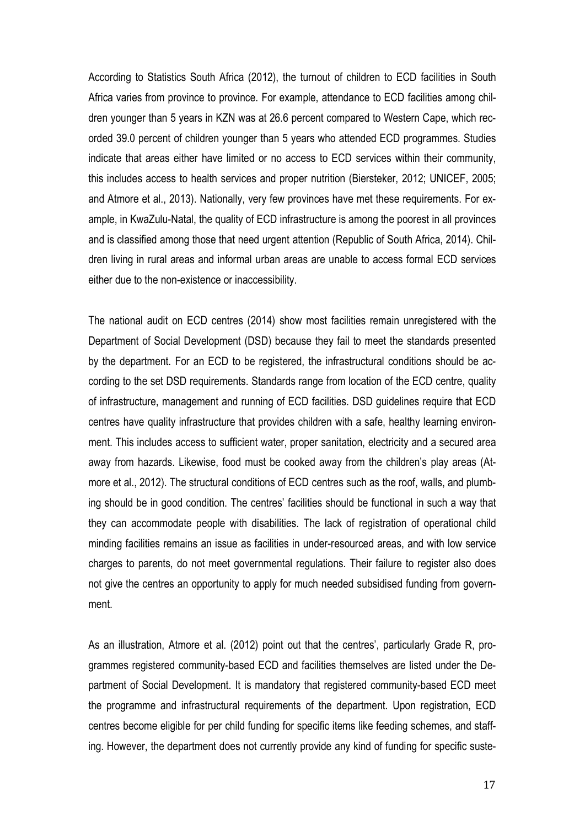According to Statistics South Africa (2012), the turnout of children to ECD facilities in South Africa varies from province to province. For example, attendance to ECD facilities among children younger than 5 years in KZN was at 26.6 percent compared to Western Cape, which recorded 39.0 percent of children younger than 5 years who attended ECD programmes. Studies indicate that areas either have limited or no access to ECD services within their community, this includes access to health services and proper nutrition (Biersteker, 2012; UNICEF, 2005; and Atmore et al., 2013). Nationally, very few provinces have met these requirements. For example, in KwaZulu-Natal, the quality of ECD infrastructure is among the poorest in all provinces and is classified among those that need urgent attention (Republic of South Africa, 2014). Children living in rural areas and informal urban areas are unable to access formal ECD services either due to the non-existence or inaccessibility.

The national audit on ECD centres (2014) show most facilities remain unregistered with the Department of Social Development (DSD) because they fail to meet the standards presented by the department. For an ECD to be registered, the infrastructural conditions should be according to the set DSD requirements. Standards range from location of the ECD centre, quality of infrastructure, management and running of ECD facilities. DSD guidelines require that ECD centres have quality infrastructure that provides children with a safe, healthy learning environment. This includes access to sufficient water, proper sanitation, electricity and a secured area away from hazards. Likewise, food must be cooked away from the children's play areas (Atmore et al., 2012). The structural conditions of ECD centres such as the roof, walls, and plumbing should be in good condition. The centres' facilities should be functional in such a way that they can accommodate people with disabilities. The lack of registration of operational child minding facilities remains an issue as facilities in under-resourced areas, and with low service charges to parents, do not meet governmental regulations. Their failure to register also does not give the centres an opportunity to apply for much needed subsidised funding from government.

As an illustration, Atmore et al. (2012) point out that the centres', particularly Grade R, programmes registered community-based ECD and facilities themselves are listed under the Department of Social Development. It is mandatory that registered community-based ECD meet the programme and infrastructural requirements of the department. Upon registration, ECD centres become eligible for per child funding for specific items like feeding schemes, and staffing. However, the department does not currently provide any kind of funding for specific suste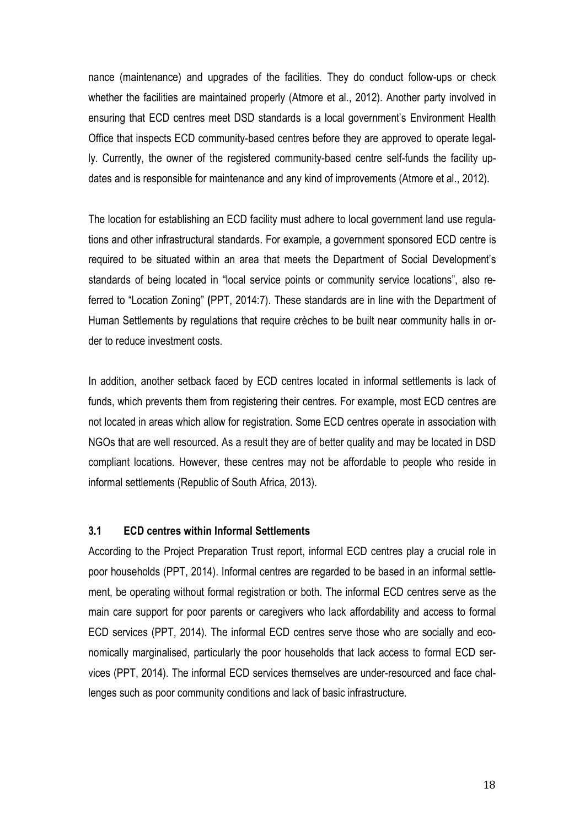nance (maintenance) and upgrades of the facilities. They do conduct follow-ups or check whether the facilities are maintained properly (Atmore et al., 2012). Another party involved in ensuring that ECD centres meet DSD standards is a local government's Environment Health Office that inspects ECD community-based centres before they are approved to operate legally. Currently, the owner of the registered community-based centre self-funds the facility updates and is responsible for maintenance and any kind of improvements (Atmore et al., 2012).

The location for establishing an ECD facility must adhere to local government land use regulations and other infrastructural standards. For example, a government sponsored ECD centre is required to be situated within an area that meets the Department of Social Development's standards of being located in "local service points or community service locations", also referred to "Location Zoning" **(**PPT, 2014:7). These standards are in line with the Department of Human Settlements by regulations that require crèches to be built near community halls in order to reduce investment costs.

In addition, another setback faced by ECD centres located in informal settlements is lack of funds, which prevents them from registering their centres. For example, most ECD centres are not located in areas which allow for registration. Some ECD centres operate in association with NGOs that are well resourced. As a result they are of better quality and may be located in DSD compliant locations. However, these centres may not be affordable to people who reside in informal settlements (Republic of South Africa, 2013).

#### **3.1 ECD centres within Informal Settlements**

According to the Project Preparation Trust report, informal ECD centres play a crucial role in poor households (PPT, 2014). Informal centres are regarded to be based in an informal settlement, be operating without formal registration or both. The informal ECD centres serve as the main care support for poor parents or caregivers who lack affordability and access to formal ECD services (PPT, 2014). The informal ECD centres serve those who are socially and economically marginalised, particularly the poor households that lack access to formal ECD services (PPT, 2014). The informal ECD services themselves are under-resourced and face challenges such as poor community conditions and lack of basic infrastructure.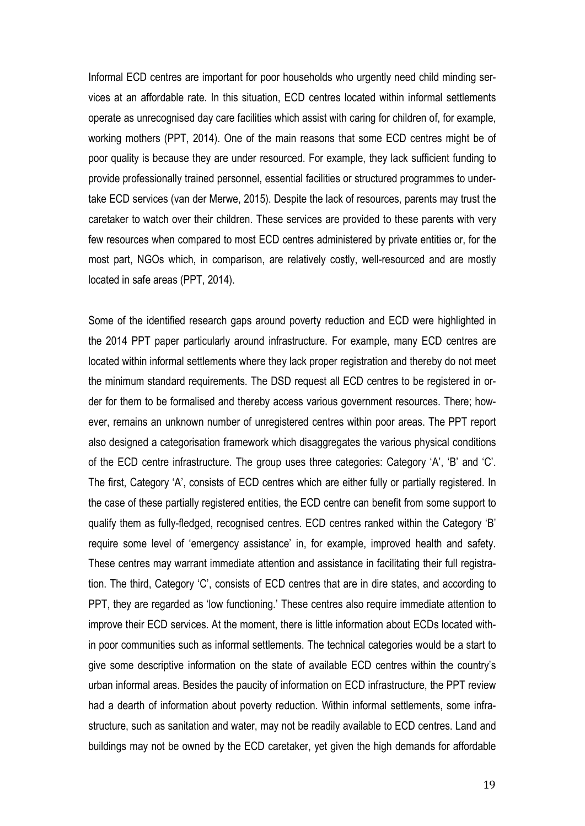Informal ECD centres are important for poor households who urgently need child minding services at an affordable rate. In this situation, ECD centres located within informal settlements operate as unrecognised day care facilities which assist with caring for children of, for example, working mothers (PPT, 2014). One of the main reasons that some ECD centres might be of poor quality is because they are under resourced. For example, they lack sufficient funding to provide professionally trained personnel, essential facilities or structured programmes to undertake ECD services (van der Merwe, 2015). Despite the lack of resources, parents may trust the caretaker to watch over their children. These services are provided to these parents with very few resources when compared to most ECD centres administered by private entities or, for the most part, NGOs which, in comparison, are relatively costly, well-resourced and are mostly located in safe areas (PPT, 2014).

Some of the identified research gaps around poverty reduction and ECD were highlighted in the 2014 PPT paper particularly around infrastructure. For example, many ECD centres are located within informal settlements where they lack proper registration and thereby do not meet the minimum standard requirements. The DSD request all ECD centres to be registered in order for them to be formalised and thereby access various government resources. There; however, remains an unknown number of unregistered centres within poor areas. The PPT report also designed a categorisation framework which disaggregates the various physical conditions of the ECD centre infrastructure. The group uses three categories: Category 'A', 'B' and 'C'. The first, Category 'A', consists of ECD centres which are either fully or partially registered. In the case of these partially registered entities, the ECD centre can benefit from some support to qualify them as fully-fledged, recognised centres. ECD centres ranked within the Category 'B' require some level of 'emergency assistance' in, for example, improved health and safety. These centres may warrant immediate attention and assistance in facilitating their full registration. The third, Category 'C', consists of ECD centres that are in dire states, and according to PPT, they are regarded as 'low functioning.' These centres also require immediate attention to improve their ECD services. At the moment, there is little information about ECDs located within poor communities such as informal settlements. The technical categories would be a start to give some descriptive information on the state of available ECD centres within the country's urban informal areas. Besides the paucity of information on ECD infrastructure, the PPT review had a dearth of information about poverty reduction. Within informal settlements, some infrastructure, such as sanitation and water, may not be readily available to ECD centres. Land and buildings may not be owned by the ECD caretaker, yet given the high demands for affordable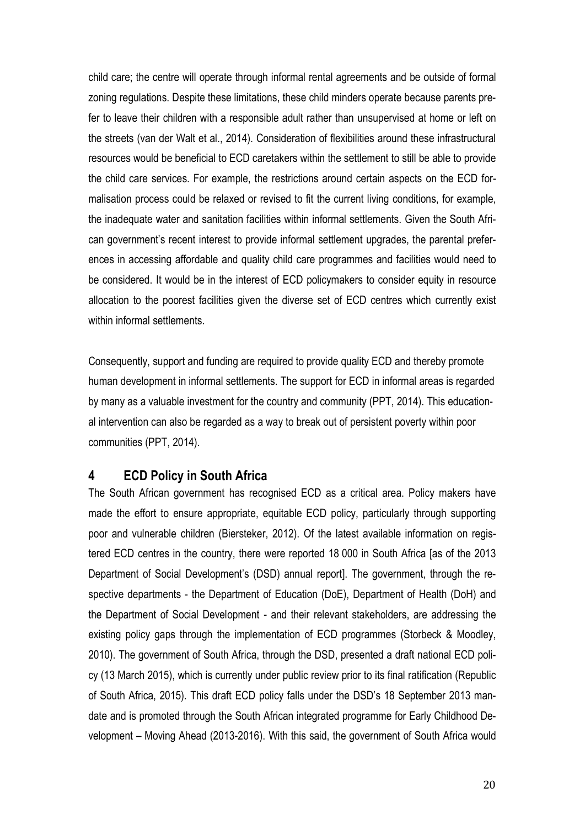child care; the centre will operate through informal rental agreements and be outside of formal zoning regulations. Despite these limitations, these child minders operate because parents prefer to leave their children with a responsible adult rather than unsupervised at home or left on the streets (van der Walt et al., 2014). Consideration of flexibilities around these infrastructural resources would be beneficial to ECD caretakers within the settlement to still be able to provide the child care services. For example, the restrictions around certain aspects on the ECD formalisation process could be relaxed or revised to fit the current living conditions, for example, the inadequate water and sanitation facilities within informal settlements. Given the South African government's recent interest to provide informal settlement upgrades, the parental preferences in accessing affordable and quality child care programmes and facilities would need to be considered. It would be in the interest of ECD policymakers to consider equity in resource allocation to the poorest facilities given the diverse set of ECD centres which currently exist within informal settlements.

Consequently, support and funding are required to provide quality ECD and thereby promote human development in informal settlements. The support for ECD in informal areas is regarded by many as a valuable investment for the country and community (PPT, 2014). This educational intervention can also be regarded as a way to break out of persistent poverty within poor communities (PPT, 2014).

## **4 ECD Policy in South Africa**

The South African government has recognised ECD as a critical area. Policy makers have made the effort to ensure appropriate, equitable ECD policy, particularly through supporting poor and vulnerable children (Biersteker, 2012). Of the latest available information on registered ECD centres in the country, there were reported 18 000 in South Africa [as of the 2013 Department of Social Development's (DSD) annual report]. The government, through the respective departments - the Department of Education (DoE), Department of Health (DoH) and the Department of Social Development - and their relevant stakeholders, are addressing the existing policy gaps through the implementation of ECD programmes (Storbeck & Moodley, 2010). The government of South Africa, through the DSD, presented a draft national ECD policy (13 March 2015), which is currently under public review prior to its final ratification (Republic of South Africa, 2015). This draft ECD policy falls under the DSD's 18 September 2013 mandate and is promoted through the South African integrated programme for Early Childhood Development – Moving Ahead (2013-2016). With this said, the government of South Africa would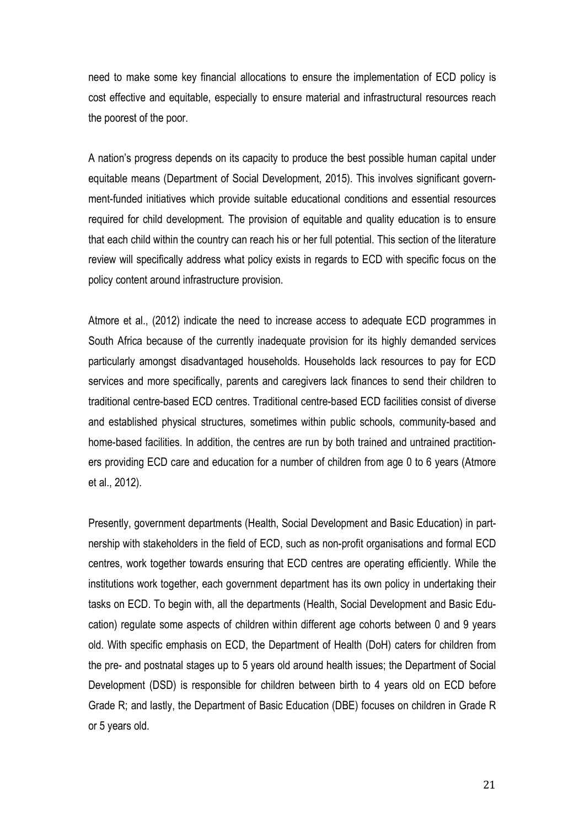need to make some key financial allocations to ensure the implementation of ECD policy is cost effective and equitable, especially to ensure material and infrastructural resources reach the poorest of the poor.

A nation's progress depends on its capacity to produce the best possible human capital under equitable means (Department of Social Development, 2015). This involves significant government-funded initiatives which provide suitable educational conditions and essential resources required for child development. The provision of equitable and quality education is to ensure that each child within the country can reach his or her full potential. This section of the literature review will specifically address what policy exists in regards to ECD with specific focus on the policy content around infrastructure provision.

Atmore et al., (2012) indicate the need to increase access to adequate ECD programmes in South Africa because of the currently inadequate provision for its highly demanded services particularly amongst disadvantaged households. Households lack resources to pay for ECD services and more specifically, parents and caregivers lack finances to send their children to traditional centre-based ECD centres. Traditional centre-based ECD facilities consist of diverse and established physical structures, sometimes within public schools, community-based and home-based facilities. In addition, the centres are run by both trained and untrained practitioners providing ECD care and education for a number of children from age 0 to 6 years (Atmore et al., 2012).

Presently, government departments (Health, Social Development and Basic Education) in partnership with stakeholders in the field of ECD, such as non-profit organisations and formal ECD centres, work together towards ensuring that ECD centres are operating efficiently. While the institutions work together, each government department has its own policy in undertaking their tasks on ECD. To begin with, all the departments (Health, Social Development and Basic Education) regulate some aspects of children within different age cohorts between 0 and 9 years old. With specific emphasis on ECD, the Department of Health (DoH) caters for children from the pre- and postnatal stages up to 5 years old around health issues; the Department of Social Development (DSD) is responsible for children between birth to 4 years old on ECD before Grade R; and lastly, the Department of Basic Education (DBE) focuses on children in Grade R or 5 years old.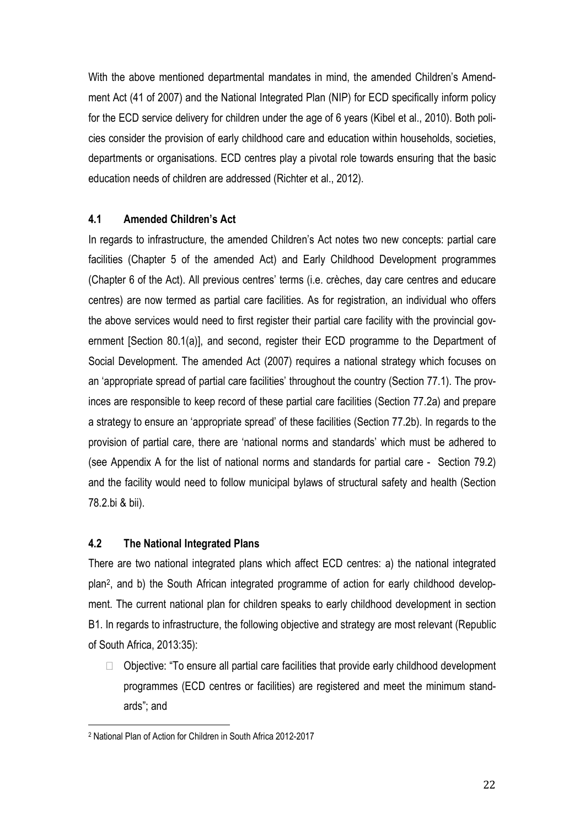With the above mentioned departmental mandates in mind, the amended Children's Amendment Act (41 of 2007) and the National Integrated Plan (NIP) for ECD specifically inform policy for the ECD service delivery for children under the age of 6 years (Kibel et al., 2010). Both policies consider the provision of early childhood care and education within households, societies, departments or organisations. ECD centres play a pivotal role towards ensuring that the basic education needs of children are addressed (Richter et al., 2012).

## **4.1 Amended Children's Act**

In regards to infrastructure, the amended Children's Act notes two new concepts: partial care facilities (Chapter 5 of the amended Act) and Early Childhood Development programmes (Chapter 6 of the Act). All previous centres' terms (i.e. crèches, day care centres and educare centres) are now termed as partial care facilities. As for registration, an individual who offers the above services would need to first register their partial care facility with the provincial government [Section 80.1(a)], and second, register their ECD programme to the Department of Social Development. The amended Act (2007) requires a national strategy which focuses on an 'appropriate spread of partial care facilities' throughout the country (Section 77.1). The provinces are responsible to keep record of these partial care facilities (Section 77.2a) and prepare a strategy to ensure an 'appropriate spread' of these facilities (Section 77.2b). In regards to the provision of partial care, there are 'national norms and standards' which must be adhered to (see Appendix A for the list of national norms and standards for partial care - Section 79.2) and the facility would need to follow municipal bylaws of structural safety and health (Section 78.2.bi & bii).

#### **4.2 The National Integrated Plans**

There are two national integrated plans which affect ECD centres: a) the national integrated plan<sup>2</sup> , and b) the South African integrated programme of action for early childhood development. The current national plan for children speaks to early childhood development in section B1. In regards to infrastructure, the following objective and strategy are most relevant (Republic of South Africa, 2013:35):

 $\Box$  Objective: "To ensure all partial care facilities that provide early childhood development programmes (ECD centres or facilities) are registered and meet the minimum standards"; and

<u>.</u>

<sup>2</sup> National Plan of Action for Children in South Africa 2012-2017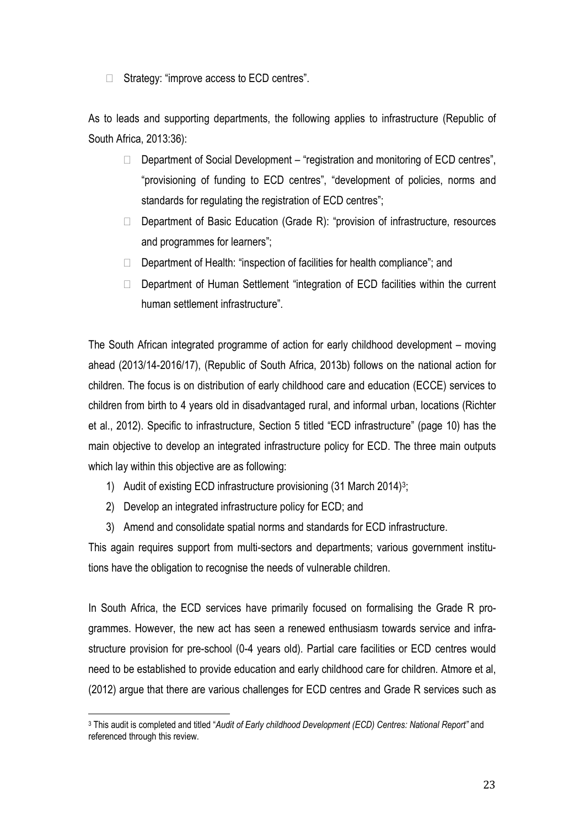$\Box$  Strategy: "improve access to ECD centres".

As to leads and supporting departments, the following applies to infrastructure (Republic of South Africa, 2013:36):

- $\Box$  Department of Social Development "registration and monitoring of ECD centres", "provisioning of funding to ECD centres", "development of policies, norms and standards for regulating the registration of ECD centres";
- $\Box$  Department of Basic Education (Grade R): "provision of infrastructure, resources and programmes for learners";
- $\Box$  Department of Health: "inspection of facilities for health compliance"; and
- $\Box$  Department of Human Settlement "integration of ECD facilities within the current human settlement infrastructure".

The South African integrated programme of action for early childhood development – moving ahead (2013/14-2016/17), (Republic of South Africa, 2013b) follows on the national action for children. The focus is on distribution of early childhood care and education (ECCE) services to children from birth to 4 years old in disadvantaged rural, and informal urban, locations (Richter et al., 2012). Specific to infrastructure, Section 5 titled "ECD infrastructure" (page 10) has the main objective to develop an integrated infrastructure policy for ECD. The three main outputs which lay within this objective are as following:

- 1) Audit of existing ECD infrastructure provisioning (31 March 2014)<sup>3</sup>;
- 2) Develop an integrated infrastructure policy for ECD; and

1

3) Amend and consolidate spatial norms and standards for ECD infrastructure.

This again requires support from multi-sectors and departments; various government institutions have the obligation to recognise the needs of vulnerable children.

In South Africa, the ECD services have primarily focused on formalising the Grade R programmes. However, the new act has seen a renewed enthusiasm towards service and infrastructure provision for pre-school (0-4 years old). Partial care facilities or ECD centres would need to be established to provide education and early childhood care for children. Atmore et al, (2012) argue that there are various challenges for ECD centres and Grade R services such as

<sup>3</sup> This audit is completed and titled "*Audit of Early childhood Development (ECD) Centres: National Report"* and referenced through this review.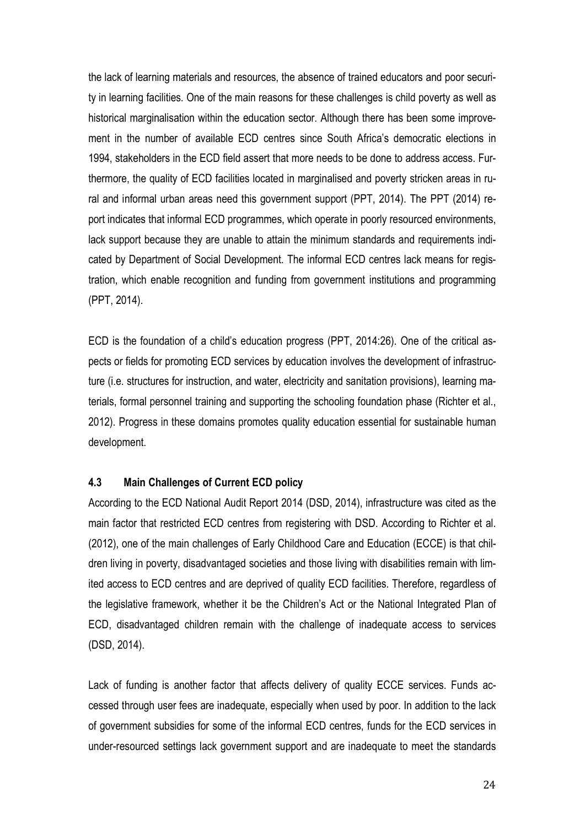the lack of learning materials and resources, the absence of trained educators and poor security in learning facilities. One of the main reasons for these challenges is child poverty as well as historical marginalisation within the education sector. Although there has been some improvement in the number of available ECD centres since South Africa's democratic elections in 1994, stakeholders in the ECD field assert that more needs to be done to address access. Furthermore, the quality of ECD facilities located in marginalised and poverty stricken areas in rural and informal urban areas need this government support (PPT, 2014). The PPT (2014) report indicates that informal ECD programmes, which operate in poorly resourced environments, lack support because they are unable to attain the minimum standards and requirements indicated by Department of Social Development. The informal ECD centres lack means for registration, which enable recognition and funding from government institutions and programming (PPT, 2014).

ECD is the foundation of a child's education progress (PPT, 2014:26). One of the critical aspects or fields for promoting ECD services by education involves the development of infrastructure (i.e. structures for instruction, and water, electricity and sanitation provisions), learning materials, formal personnel training and supporting the schooling foundation phase (Richter et al., 2012). Progress in these domains promotes quality education essential for sustainable human development.

#### **4.3 Main Challenges of Current ECD policy**

According to the ECD National Audit Report 2014 (DSD, 2014), infrastructure was cited as the main factor that restricted ECD centres from registering with DSD. According to Richter et al. (2012), one of the main challenges of Early Childhood Care and Education (ECCE) is that children living in poverty, disadvantaged societies and those living with disabilities remain with limited access to ECD centres and are deprived of quality ECD facilities. Therefore, regardless of the legislative framework, whether it be the Children's Act or the National Integrated Plan of ECD, disadvantaged children remain with the challenge of inadequate access to services (DSD, 2014).

Lack of funding is another factor that affects delivery of quality ECCE services. Funds accessed through user fees are inadequate, especially when used by poor. In addition to the lack of government subsidies for some of the informal ECD centres, funds for the ECD services in under-resourced settings lack government support and are inadequate to meet the standards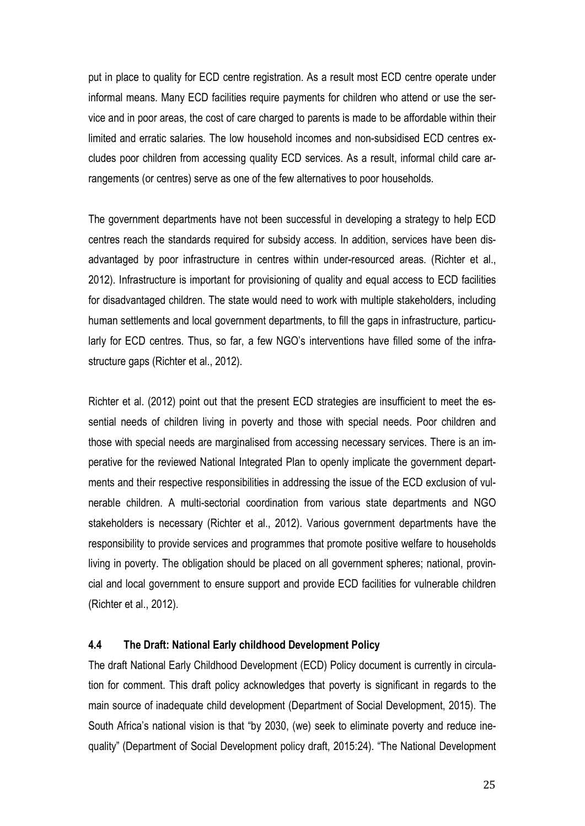put in place to quality for ECD centre registration. As a result most ECD centre operate under informal means. Many ECD facilities require payments for children who attend or use the service and in poor areas, the cost of care charged to parents is made to be affordable within their limited and erratic salaries. The low household incomes and non-subsidised ECD centres excludes poor children from accessing quality ECD services. As a result, informal child care arrangements (or centres) serve as one of the few alternatives to poor households.

The government departments have not been successful in developing a strategy to help ECD centres reach the standards required for subsidy access. In addition, services have been disadvantaged by poor infrastructure in centres within under-resourced areas. (Richter et al., 2012). Infrastructure is important for provisioning of quality and equal access to ECD facilities for disadvantaged children. The state would need to work with multiple stakeholders, including human settlements and local government departments, to fill the gaps in infrastructure, particularly for ECD centres. Thus, so far, a few NGO's interventions have filled some of the infrastructure gaps (Richter et al., 2012).

Richter et al. (2012) point out that the present ECD strategies are insufficient to meet the essential needs of children living in poverty and those with special needs. Poor children and those with special needs are marginalised from accessing necessary services. There is an imperative for the reviewed National Integrated Plan to openly implicate the government departments and their respective responsibilities in addressing the issue of the ECD exclusion of vulnerable children. A multi-sectorial coordination from various state departments and NGO stakeholders is necessary (Richter et al., 2012). Various government departments have the responsibility to provide services and programmes that promote positive welfare to households living in poverty. The obligation should be placed on all government spheres; national, provincial and local government to ensure support and provide ECD facilities for vulnerable children (Richter et al., 2012).

#### **4.4 The Draft: National Early childhood Development Policy**

The draft National Early Childhood Development (ECD) Policy document is currently in circulation for comment. This draft policy acknowledges that poverty is significant in regards to the main source of inadequate child development (Department of Social Development, 2015). The South Africa's national vision is that "by 2030, (we) seek to eliminate poverty and reduce inequality" (Department of Social Development policy draft, 2015:24). "The National Development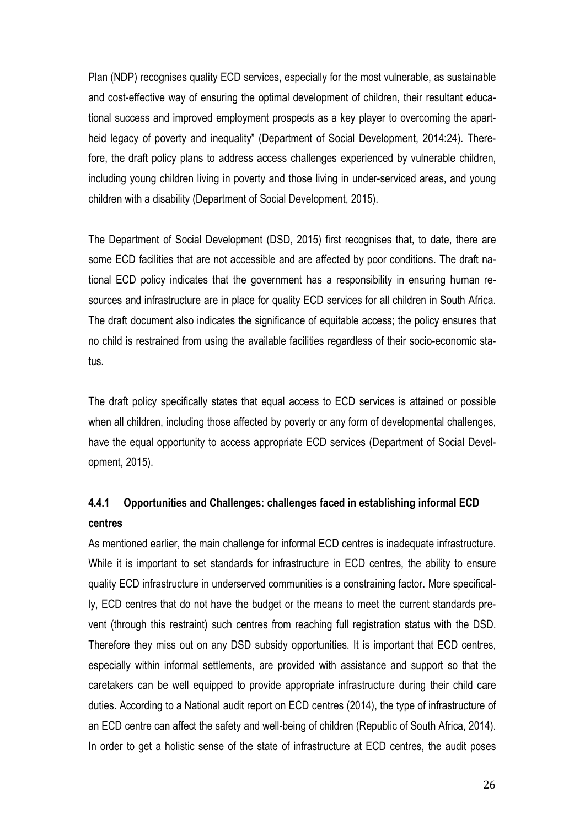Plan (NDP) recognises quality ECD services, especially for the most vulnerable, as sustainable and cost-effective way of ensuring the optimal development of children, their resultant educational success and improved employment prospects as a key player to overcoming the apartheid legacy of poverty and inequality" (Department of Social Development, 2014:24). Therefore, the draft policy plans to address access challenges experienced by vulnerable children, including young children living in poverty and those living in under-serviced areas, and young children with a disability (Department of Social Development, 2015).

The Department of Social Development (DSD, 2015) first recognises that, to date, there are some ECD facilities that are not accessible and are affected by poor conditions. The draft national ECD policy indicates that the government has a responsibility in ensuring human resources and infrastructure are in place for quality ECD services for all children in South Africa. The draft document also indicates the significance of equitable access; the policy ensures that no child is restrained from using the available facilities regardless of their socio-economic status.

The draft policy specifically states that equal access to ECD services is attained or possible when all children, including those affected by poverty or any form of developmental challenges, have the equal opportunity to access appropriate ECD services (Department of Social Development, 2015).

# **4.4.1 Opportunities and Challenges: challenges faced in establishing informal ECD centres**

As mentioned earlier, the main challenge for informal ECD centres is inadequate infrastructure. While it is important to set standards for infrastructure in ECD centres, the ability to ensure quality ECD infrastructure in underserved communities is a constraining factor. More specifically, ECD centres that do not have the budget or the means to meet the current standards prevent (through this restraint) such centres from reaching full registration status with the DSD. Therefore they miss out on any DSD subsidy opportunities. It is important that ECD centres, especially within informal settlements, are provided with assistance and support so that the caretakers can be well equipped to provide appropriate infrastructure during their child care duties. According to a National audit report on ECD centres (2014), the type of infrastructure of an ECD centre can affect the safety and well-being of children (Republic of South Africa, 2014). In order to get a holistic sense of the state of infrastructure at ECD centres, the audit poses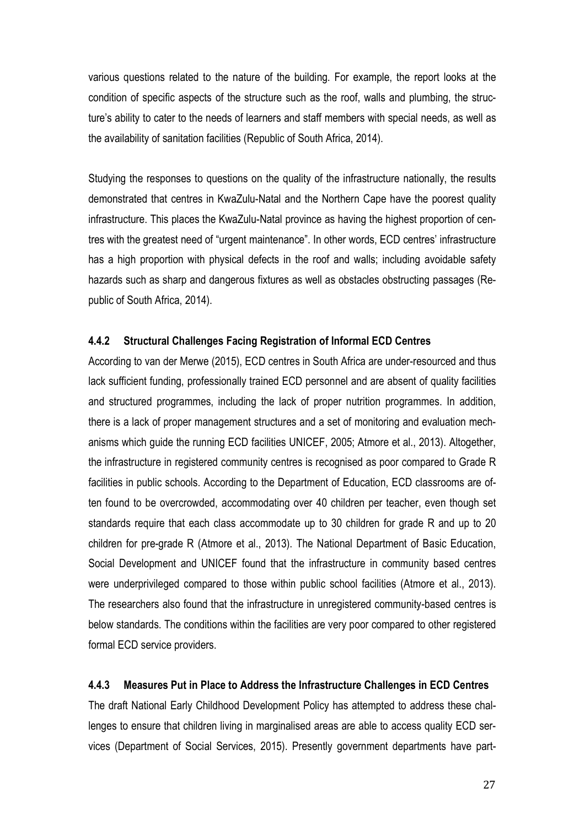various questions related to the nature of the building. For example, the report looks at the condition of specific aspects of the structure such as the roof, walls and plumbing, the structure's ability to cater to the needs of learners and staff members with special needs, as well as the availability of sanitation facilities (Republic of South Africa, 2014).

Studying the responses to questions on the quality of the infrastructure nationally, the results demonstrated that centres in KwaZulu-Natal and the Northern Cape have the poorest quality infrastructure. This places the KwaZulu-Natal province as having the highest proportion of centres with the greatest need of "urgent maintenance". In other words, ECD centres' infrastructure has a high proportion with physical defects in the roof and walls; including avoidable safety hazards such as sharp and dangerous fixtures as well as obstacles obstructing passages (Republic of South Africa, 2014).

#### **4.4.2 Structural Challenges Facing Registration of Informal ECD Centres**

According to van der Merwe (2015), ECD centres in South Africa are under-resourced and thus lack sufficient funding, professionally trained ECD personnel and are absent of quality facilities and structured programmes, including the lack of proper nutrition programmes. In addition, there is a lack of proper management structures and a set of monitoring and evaluation mechanisms which guide the running ECD facilities UNICEF, 2005; Atmore et al., 2013). Altogether, the infrastructure in registered community centres is recognised as poor compared to Grade R facilities in public schools. According to the Department of Education, ECD classrooms are often found to be overcrowded, accommodating over 40 children per teacher, even though set standards require that each class accommodate up to 30 children for grade R and up to 20 children for pre-grade R (Atmore et al., 2013). The National Department of Basic Education, Social Development and UNICEF found that the infrastructure in community based centres were underprivileged compared to those within public school facilities (Atmore et al., 2013). The researchers also found that the infrastructure in unregistered community-based centres is below standards. The conditions within the facilities are very poor compared to other registered formal ECD service providers.

#### **4.4.3 Measures Put in Place to Address the Infrastructure Challenges in ECD Centres**

The draft National Early Childhood Development Policy has attempted to address these challenges to ensure that children living in marginalised areas are able to access quality ECD services (Department of Social Services, 2015). Presently government departments have part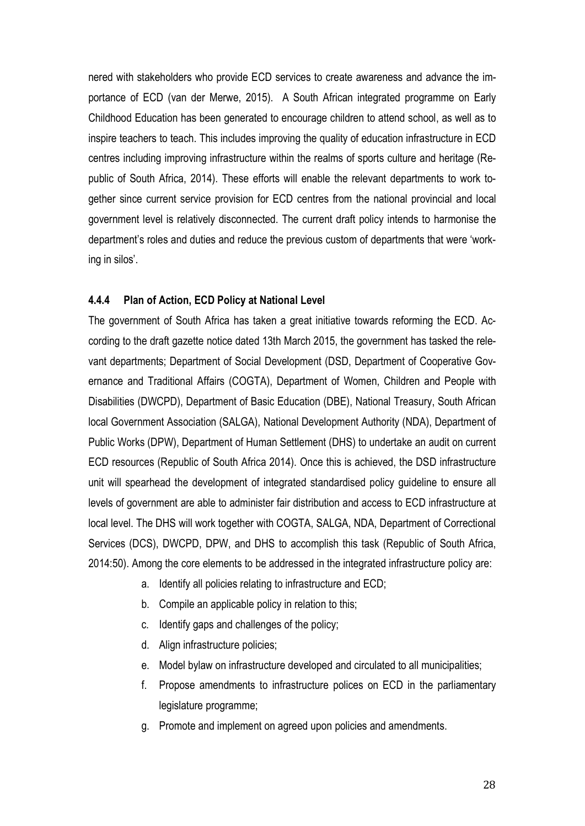nered with stakeholders who provide ECD services to create awareness and advance the importance of ECD (van der Merwe, 2015). A South African integrated programme on Early Childhood Education has been generated to encourage children to attend school, as well as to inspire teachers to teach. This includes improving the quality of education infrastructure in ECD centres including improving infrastructure within the realms of sports culture and heritage (Republic of South Africa, 2014). These efforts will enable the relevant departments to work together since current service provision for ECD centres from the national provincial and local government level is relatively disconnected. The current draft policy intends to harmonise the department's roles and duties and reduce the previous custom of departments that were 'working in silos'.

#### **4.4.4 Plan of Action, ECD Policy at National Level**

The government of South Africa has taken a great initiative towards reforming the ECD. According to the draft gazette notice dated 13th March 2015, the government has tasked the relevant departments; Department of Social Development (DSD, Department of Cooperative Governance and Traditional Affairs (COGTA), Department of Women, Children and People with Disabilities (DWCPD), Department of Basic Education (DBE), National Treasury, South African local Government Association (SALGA), National Development Authority (NDA), Department of Public Works (DPW), Department of Human Settlement (DHS) to undertake an audit on current ECD resources (Republic of South Africa 2014). Once this is achieved, the DSD infrastructure unit will spearhead the development of integrated standardised policy guideline to ensure all levels of government are able to administer fair distribution and access to ECD infrastructure at local level. The DHS will work together with COGTA, SALGA, NDA, Department of Correctional Services (DCS), DWCPD, DPW, and DHS to accomplish this task (Republic of South Africa, 2014:50). Among the core elements to be addressed in the integrated infrastructure policy are:

- a. Identify all policies relating to infrastructure and ECD;
- b. Compile an applicable policy in relation to this;
- c. Identify gaps and challenges of the policy;
- d. Align infrastructure policies;
- e. Model bylaw on infrastructure developed and circulated to all municipalities;
- f. Propose amendments to infrastructure polices on ECD in the parliamentary legislature programme;
- g. Promote and implement on agreed upon policies and amendments.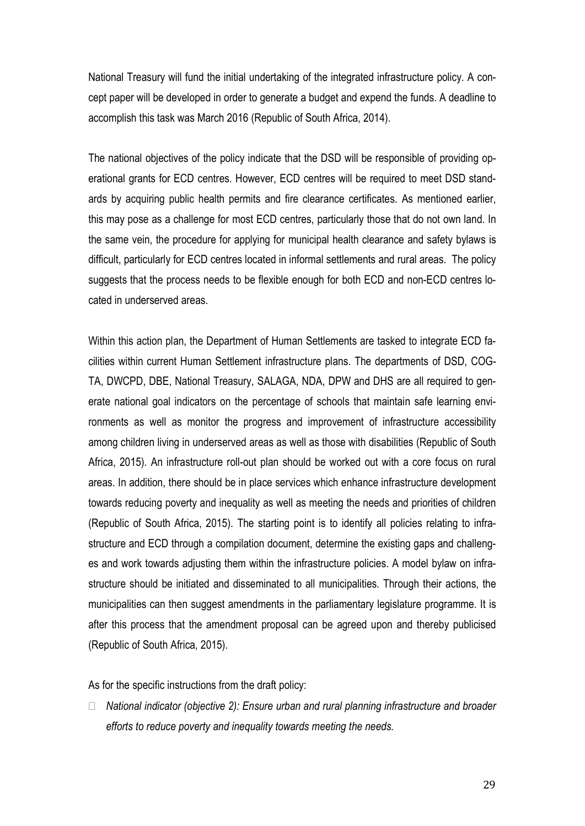National Treasury will fund the initial undertaking of the integrated infrastructure policy. A concept paper will be developed in order to generate a budget and expend the funds. A deadline to accomplish this task was March 2016 (Republic of South Africa, 2014).

The national objectives of the policy indicate that the DSD will be responsible of providing operational grants for ECD centres. However, ECD centres will be required to meet DSD standards by acquiring public health permits and fire clearance certificates. As mentioned earlier, this may pose as a challenge for most ECD centres, particularly those that do not own land. In the same vein, the procedure for applying for municipal health clearance and safety bylaws is difficult, particularly for ECD centres located in informal settlements and rural areas. The policy suggests that the process needs to be flexible enough for both ECD and non-ECD centres located in underserved areas.

Within this action plan, the Department of Human Settlements are tasked to integrate ECD facilities within current Human Settlement infrastructure plans. The departments of DSD, COG-TA, DWCPD, DBE, National Treasury, SALAGA, NDA, DPW and DHS are all required to generate national goal indicators on the percentage of schools that maintain safe learning environments as well as monitor the progress and improvement of infrastructure accessibility among children living in underserved areas as well as those with disabilities (Republic of South Africa, 2015). An infrastructure roll-out plan should be worked out with a core focus on rural areas. In addition, there should be in place services which enhance infrastructure development towards reducing poverty and inequality as well as meeting the needs and priorities of children (Republic of South Africa, 2015). The starting point is to identify all policies relating to infrastructure and ECD through a compilation document, determine the existing gaps and challenges and work towards adjusting them within the infrastructure policies. A model bylaw on infrastructure should be initiated and disseminated to all municipalities. Through their actions, the municipalities can then suggest amendments in the parliamentary legislature programme. It is after this process that the amendment proposal can be agreed upon and thereby publicised (Republic of South Africa, 2015).

As for the specific instructions from the draft policy:

 *National indicator (objective 2): Ensure urban and rural planning infrastructure and broader efforts to reduce poverty and inequality towards meeting the needs.*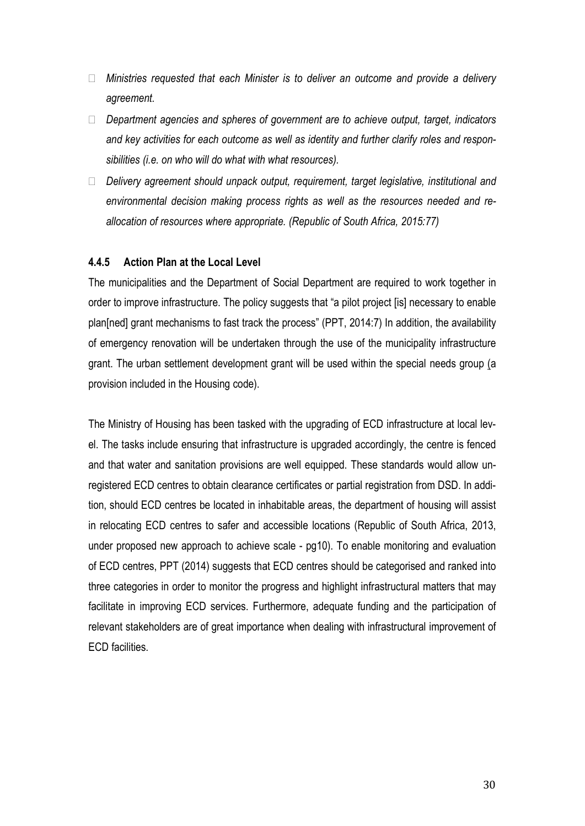- *Ministries requested that each Minister is to deliver an outcome and provide a delivery agreement.*
- *Department agencies and spheres of government are to achieve output, target, indicators and key activities for each outcome as well as identity and further clarify roles and responsibilities (i.e. on who will do what with what resources).*
- *Delivery agreement should unpack output, requirement, target legislative, institutional and environmental decision making process rights as well as the resources needed and reallocation of resources where appropriate. (Republic of South Africa, 2015:77)*

#### **4.4.5 Action Plan at the Local Level**

The municipalities and the Department of Social Department are required to work together in order to improve infrastructure. The policy suggests that "a pilot project [is] necessary to enable plan[ned] grant mechanisms to fast track the process" (PPT, 2014:7) In addition, the availability of emergency renovation will be undertaken through the use of the municipality infrastructure grant. The urban settlement development grant will be used within the special needs group (a provision included in the Housing code).

The Ministry of Housing has been tasked with the upgrading of ECD infrastructure at local level. The tasks include ensuring that infrastructure is upgraded accordingly, the centre is fenced and that water and sanitation provisions are well equipped. These standards would allow unregistered ECD centres to obtain clearance certificates or partial registration from DSD. In addition, should ECD centres be located in inhabitable areas, the department of housing will assist in relocating ECD centres to safer and accessible locations (Republic of South Africa, 2013, under proposed new approach to achieve scale - pg10). To enable monitoring and evaluation of ECD centres, PPT (2014) suggests that ECD centres should be categorised and ranked into three categories in order to monitor the progress and highlight infrastructural matters that may facilitate in improving ECD services. Furthermore, adequate funding and the participation of relevant stakeholders are of great importance when dealing with infrastructural improvement of ECD facilities.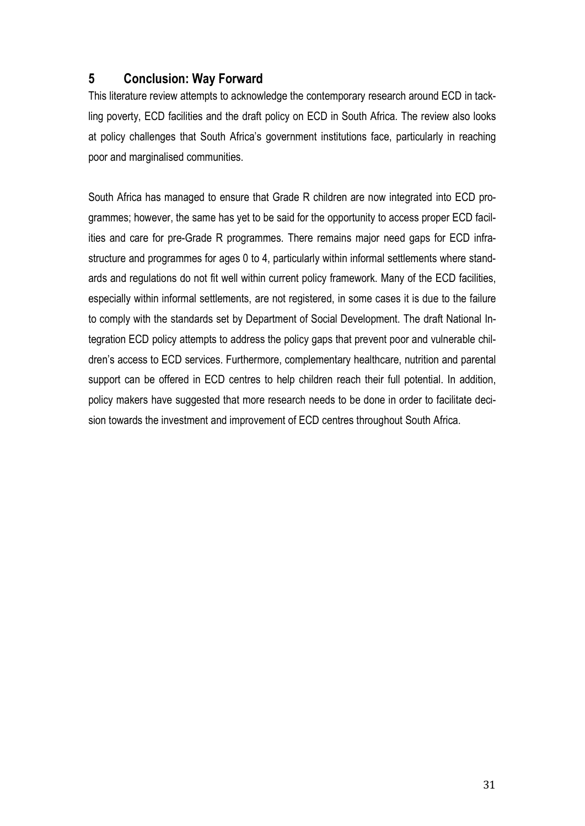# **5 Conclusion: Way Forward**

This literature review attempts to acknowledge the contemporary research around ECD in tackling poverty, ECD facilities and the draft policy on ECD in South Africa. The review also looks at policy challenges that South Africa's government institutions face, particularly in reaching poor and marginalised communities.

South Africa has managed to ensure that Grade R children are now integrated into ECD programmes; however, the same has yet to be said for the opportunity to access proper ECD facilities and care for pre-Grade R programmes. There remains major need gaps for ECD infrastructure and programmes for ages 0 to 4, particularly within informal settlements where standards and regulations do not fit well within current policy framework. Many of the ECD facilities, especially within informal settlements, are not registered, in some cases it is due to the failure to comply with the standards set by Department of Social Development. The draft National Integration ECD policy attempts to address the policy gaps that prevent poor and vulnerable children's access to ECD services. Furthermore, complementary healthcare, nutrition and parental support can be offered in ECD centres to help children reach their full potential. In addition, policy makers have suggested that more research needs to be done in order to facilitate decision towards the investment and improvement of ECD centres throughout South Africa.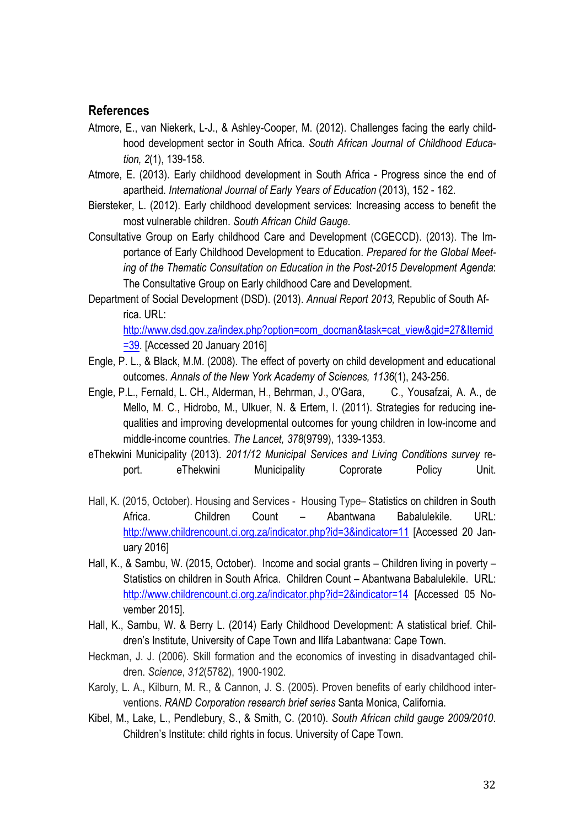### **References**

- Atmore, E., van Niekerk, L-J., & Ashley-Cooper, M. (2012). Challenges facing the early childhood development sector in South Africa. *South African Journal of Childhood Education, 2*(1), 139-158.
- Atmore, E. (2013). Early childhood development in South Africa Progress since the end of apartheid. *International Journal of Early Years of Education* (2013), 152 - 162.
- Biersteker, L. (2012). Early childhood development services: Increasing access to benefit the most vulnerable children. *South African Child Gauge*.
- Consultative Group on Early childhood Care and Development (CGECCD). (2013). The Importance of Early Childhood Development to Education. *Prepared for the Global Meeting of the Thematic Consultation on Education in the Post-2015 Development Agenda*: The Consultative Group on Early childhood Care and Development.
- Department of Social Development (DSD). (2013). *Annual Report 2013,* Republic of South Africa. URL: [http://www.dsd.gov.za/index.php?option=com\\_docman&task=cat\\_view&gid=27&Itemid](http://www.dsd.gov.za/index.php?option=com_docman&task=cat_view&gid=27&Itemid=39)  $=$   $\frac{39}{10}$  [Accessed 20 January 2016]
- Engle, P. L., & Black, M.M. (2008). The effect of poverty on child development and educational outcomes. *Annals of the New York Academy of Sciences, 1136*(1), 243-256.
- Engle, P.L., Fernald, L. CH., Alderman, H., Behrman, J., O'Gara, C., Yousafzai, A. A., de Mello, M. C., Hidrobo, M., Ulkuer, N. & Ertem, I. (2011). Strategies for reducing inequalities and improving developmental outcomes for young children in low-income and middle-income countries. *The Lancet, 378*(9799), 1339-1353.
- eThekwini Municipality (2013). *2011/12 Municipal Services and Living Conditions survey* report. eThekwini Municipality Coprorate Policy Unit.
- Hall, K. (2015, October). Housing and Services Housing Type– Statistics on children in South Africa. Children Count – Abantwana Babalulekile. URL: <http://www.childrencount.ci.org.za/indicator.php?id=3&indicator=11> [Accessed 20 January 2016]
- Hall, K., & Sambu, W. (2015, October). Income and social grants Children living in poverty Statistics on children in South Africa. Children Count – Abantwana Babalulekile. URL: <http://www.childrencount.ci.org.za/indicator.php?id=2&indicator=14> [Accessed 05 November 2015].
- Hall, K., Sambu, W. & Berry L. (2014) Early Childhood Development: A statistical brief. Children's Institute, University of Cape Town and Ilifa Labantwana: Cape Town.
- Heckman, J. J. (2006). Skill formation and the economics of investing in disadvantaged children. *Science*, *312*(5782), 1900-1902.
- Karoly, L. A., Kilburn, M. R., & Cannon, J. S. (2005). Proven benefits of early childhood interventions. *RAND Corporation research brief series* Santa Monica, California.
- Kibel, M., Lake, L., Pendlebury, S., & Smith, C. (2010). *South African child gauge 2009/2010*. Children's Institute: child rights in focus. University of Cape Town.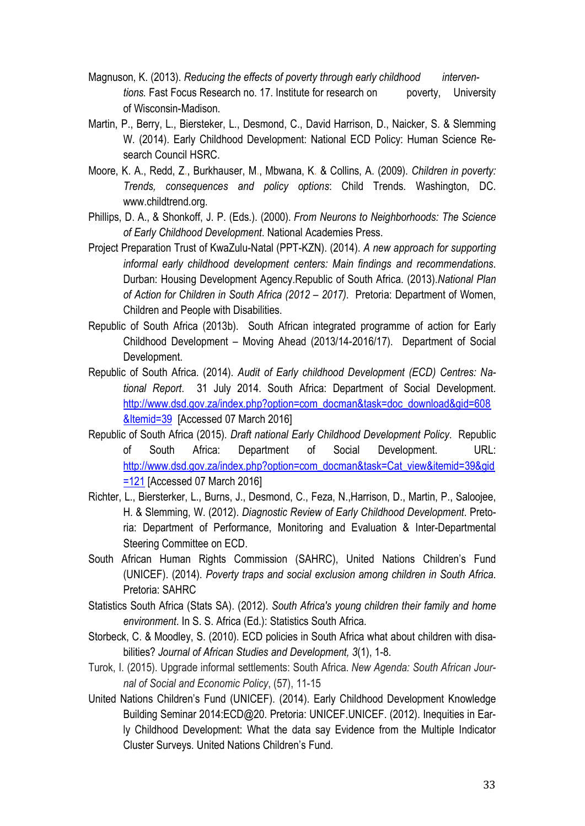- Magnuson, K. (2013). *Reducing the effects of poverty through early childhood interventions.* Fast Focus Research no. 17. Institute for research on poverty, University of Wisconsin-Madison.
- Martin, P., Berry, L., Biersteker, L., Desmond, C., David Harrison, D., Naicker, S. & Slemming W. (2014). Early Childhood Development: National ECD Policy: Human Science Research Council HSRC.
- Moore, K. A., Redd, Z., Burkhauser, M., Mbwana, K. & Collins, A. (2009). *Children in poverty: Trends, consequences and policy options*: Child Trends. Washington, DC. www.childtrend.org.
- Phillips, D. A., & Shonkoff, J. P. (Eds.). (2000). *From Neurons to Neighborhoods: The Science of Early Childhood Development*. National Academies Press.
- Project Preparation Trust of KwaZulu-Natal (PPT-KZN). (2014). *A new approach for supporting informal early childhood development centers: Main findings and recommendations*. Durban: Housing Development Agency.Republic of South Africa. (2013).*National Plan of Action for Children in South Africa (2012 – 2017)*. Pretoria: Department of Women, Children and People with Disabilities.
- Republic of South Africa (2013b). South African integrated programme of action for Early Childhood Development – Moving Ahead (2013/14-2016/17). Department of Social Development.
- Republic of South Africa. (2014). *Audit of Early childhood Development (ECD) Centres: National Report*. 31 July 2014. South Africa: Department of Social Development. [http://www.dsd.gov.za/index.php?option=com\\_docman&task=doc\\_download&gid=608](http://www.dsd.gov.za/index.php?option=com_docman&task=doc_download&gid=608&Itemid=39) [&Itemid=39](http://www.dsd.gov.za/index.php?option=com_docman&task=doc_download&gid=608&Itemid=39) [Accessed 07 March 2016]
- Republic of South Africa (2015). *Draft national Early Childhood Development Policy*. Republic of South Africa: Department of Social Development. URL: [http://www.dsd.gov.za/index.php?option=com\\_docman&task=Cat\\_view&itemid=39&gid](http://www.dsd.gov.za/index.php?option=com_docman&task=Cat_view&itemid=39&gid=121) [=121](http://www.dsd.gov.za/index.php?option=com_docman&task=Cat_view&itemid=39&gid=121) [Accessed 07 March 2016]
- Richter, L., Biersterker, L., Burns, J., Desmond, C., Feza, N.,Harrison, D., Martin, P., Saloojee, H. & Slemming, W. (2012). *Diagnostic Review of Early Childhood Development*. Pretoria: Department of Performance, Monitoring and Evaluation & Inter-Departmental Steering Committee on ECD.
- South African Human Rights Commission (SAHRC), United Nations Children's Fund (UNICEF). (2014). *Poverty traps and social exclusion among children in South Africa*. Pretoria: SAHRC
- Statistics South Africa (Stats SA). (2012). *South Africa's young children their family and home environment*. In S. S. Africa (Ed.): Statistics South Africa.
- Storbeck, C. & Moodley, S. (2010). ECD policies in South Africa what about children with disabilities? *Journal of African Studies and Development, 3*(1), 1-8.
- Turok, I. (2015). Upgrade informal settlements: South Africa. *New Agenda: South African Journal of Social and Economic Policy*, (57), 11-15
- United Nations Children's Fund (UNICEF). (2014). Early Childhood Development Knowledge Building Seminar 2014:ECD@20. Pretoria: UNICEF.UNICEF. (2012). Inequities in Early Childhood Development: What the data say Evidence from the Multiple Indicator Cluster Surveys. United Nations Children's Fund.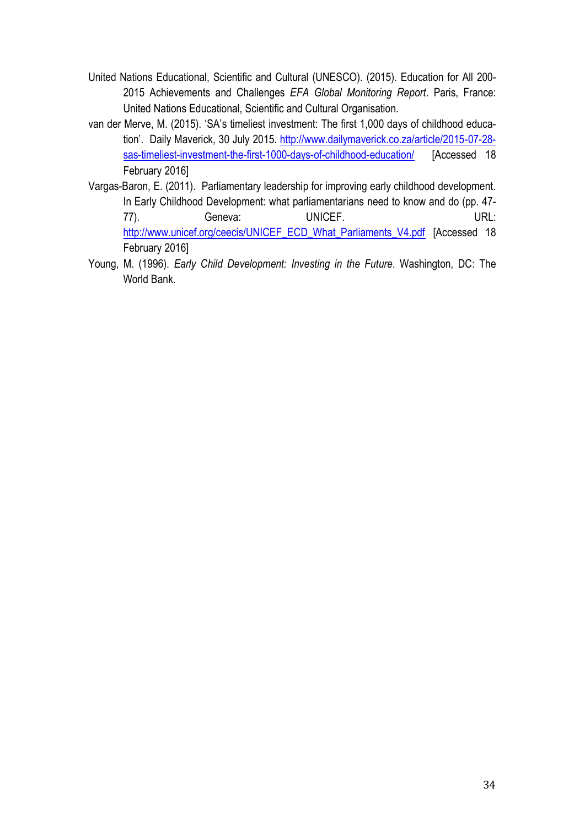- United Nations Educational, Scientific and Cultural (UNESCO). (2015). Education for All 200- 2015 Achievements and Challenges *EFA Global Monitoring Report*. Paris, France: United Nations Educational, Scientific and Cultural Organisation.
- van der Merve, M. (2015). 'SA's timeliest investment: The first 1,000 days of childhood education'. Daily Maverick, 30 July 2015. [http://www.dailymaverick.co.za/article/2015-07-28](http://www.dailymaverick.co.za/article/2015-07-28-sas-timeliest-investment-the-first-1000-days-of-childhood-education/) [sas-timeliest-investment-the-first-1000-days-of-childhood-education/](http://www.dailymaverick.co.za/article/2015-07-28-sas-timeliest-investment-the-first-1000-days-of-childhood-education/) [Accessed 18 February 2016]
- Vargas-Baron, E. (2011). Parliamentary leadership for improving early childhood development. In Early Childhood Development: what parliamentarians need to know and do (pp. 47- 77). Geneva: UNICEF. URL: [http://www.unicef.org/ceecis/UNICEF\\_ECD\\_What\\_Parliaments\\_V4.pdf](http://www.unicef.org/ceecis/UNICEF_ECD_What_Parliaments_V4.pdf) [Accessed 18 February 2016]
- Young, M. (1996). *Early Child Development: Investing in the Future*. Washington, DC: The World Bank.